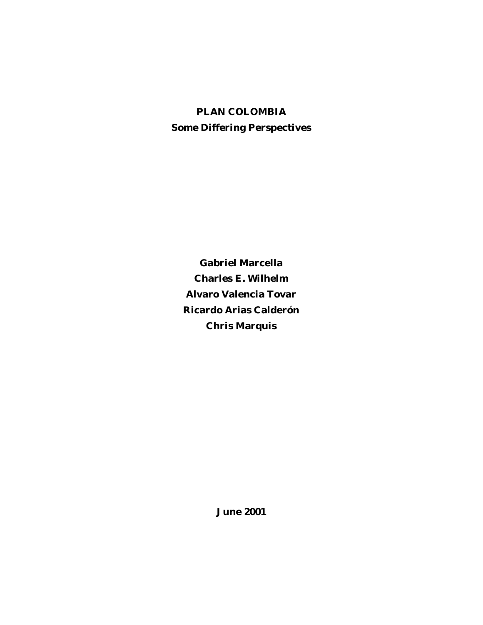# **PLAN COLOMBIA Some Differing Perspectives**

**Gabriel Marcella Charles E. Wilhelm Alvaro Valencia Tovar Ricardo Arias Calderón Chris Marquis**

**June 2001**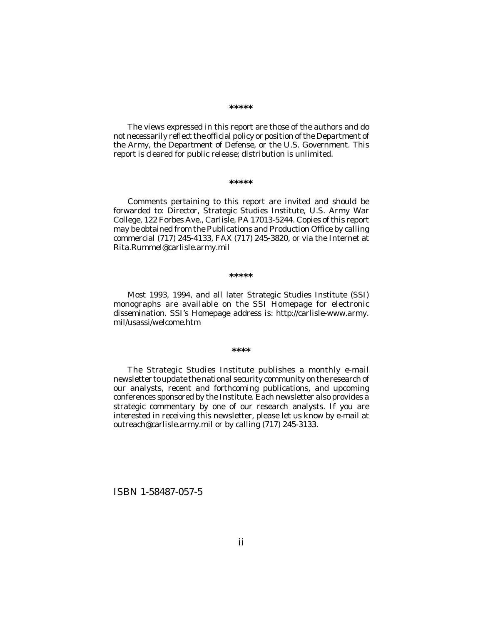#### **\*\*\*\*\***

The views expressed in this report are those of the authors and do not necessarily reflect the official policy or position of the Department of the Army, the Department of Defense, or the U.S. Government. This report is cleared for public release; distribution is unlimited.

#### **\*\*\*\*\***

Comments pertaining to this report are invited and should be forwarded to: Director, Strategic Studies Institute, U.S. Army War College, 122 Forbes Ave., Carlisle, PA 17013-5244. Copies of this report may be obtained from the Publications and Production Office by calling commercial (717) 245-4133, FAX (717) 245-3820, or via the Internet at Rita.Rummel@carlisle.army.mil

#### **\*\*\*\*\***

Most 1993, 1994, and all later Strategic Studies Institute (SSI) monographs are available on the SSI Homepage for electronic dissemination. SSI's Homepage address is: http://carlisle-www.army. mil/usassi/welcome.htm

#### **\*\*\*\***

The Strategic Studies Institute publishes a monthly e-mail newsletter to update the national security community on the research of our analysts, recent and forthcoming publications, and upcoming conferences sponsored by the Institute. Each newsletter also provides a strategic commentary by one of our research analysts. If you are interested in receiving this newsletter, please let us know by e-mail at outreach@carlisle.army.mil or by calling (717) 245-3133.

ISBN 1-58487-057-5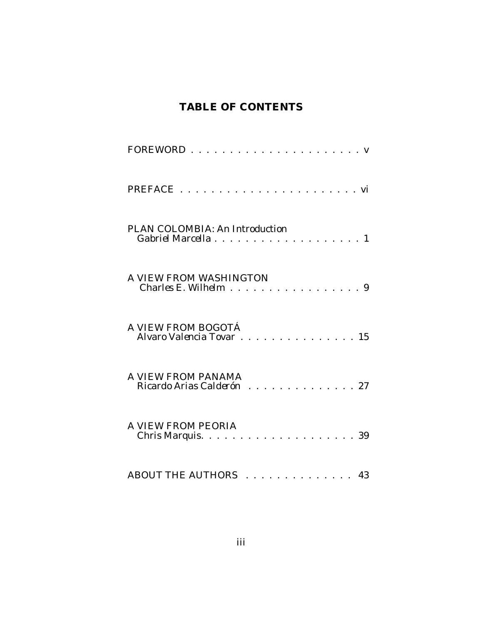# **TABLE OF CONTENTS**

| PREFACE.                                             |  |
|------------------------------------------------------|--|
| PLAN COLOMBIA: An Introduction                       |  |
| A VIEW FROM WASHINGTON<br>Charles E. Wilhelm 9       |  |
| A VIEW FROM BOGOTÁ<br>Alvaro Valencia Tovar<br>. 15  |  |
| A VIEW FROM PANAMA<br>Ricardo Arias Calderón<br>. 27 |  |
| A VIEW FROM PEORIA<br>Chris Marquis.<br>. 39         |  |
| ABOUT THE AUTHORS<br>. 43                            |  |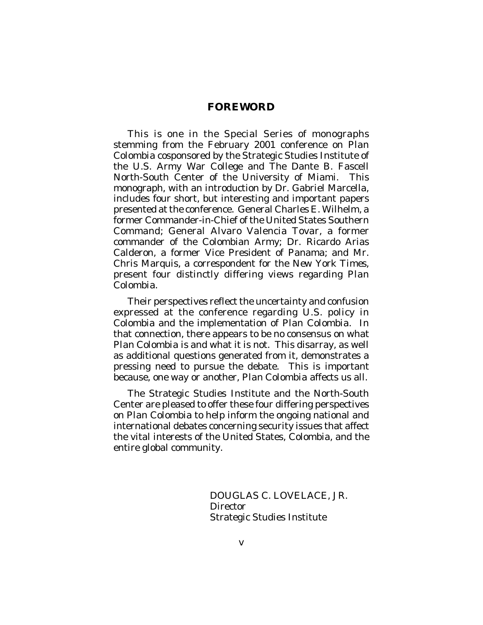## **FOREWORD**

This is one in the Special Series of monographs stemming from the February 2001 conference on *Plan Colombia* cosponsored by the Strategic Studies Institute of the U.S. Army War College and The Dante B. Fascell North-South Center of the University of Miami. This monograph, with an introduction by Dr. Gabriel Marcella, includes four short, but interesting and important papers presented at the conference. General Charles E. Wilhelm, a former Commander-in-Chief of the United States Southern Command; General Alvaro Valencia Tovar, a former commander of the Colombian Army; Dr. Ricardo Arias Calderon, a former Vice President of Panama; and Mr. Chris Marquis, a correspondent for the *New York Times*, present four distinctly differing views regarding *Plan Colombia*.

Their perspectives reflect the uncertainty and confusion expressed at the conference regarding U.S. policy in Colombia and the implementation of *Plan Colombia*. In that connection, there appears to be no consensus on what *Plan Colombia* is and what it is not. This disarray, as well as additional questions generated from it, demonstrates a pressing need to pursue the debate. This is important because, one way or another, *Plan Colombia* affects us all.

The Strategic Studies Institute and the North-South Center are pleased to offer these four differing perspectives on *Plan Colombia* to help inform the ongoing national and international debates concerning security issues that affect the vital interests of the United States, Colombia, and the entire global community.

> DOUGLAS C. LOVELACE, JR. **Director** Strategic Studies Institute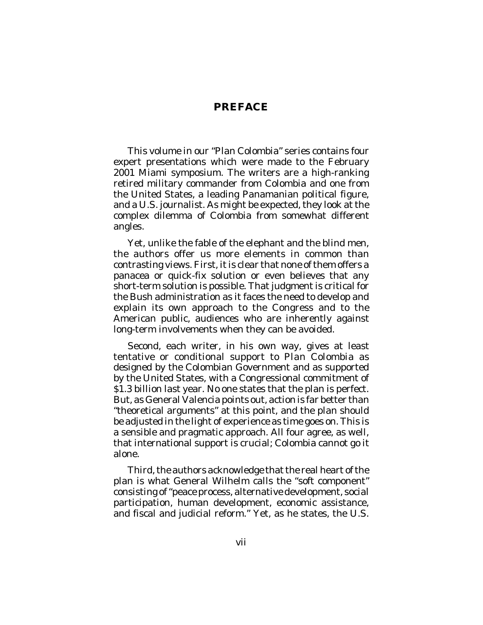## **PREFACE**

This volume in our "Plan Colombia" series contains four expert presentations which were made to the February 2001 Miami symposium. The writers are a high-ranking retired military commander from Colombia and one from the United States, a leading Panamanian political figure, and a U.S. journalist. As might be expected, they look at the complex dilemma of Colombia from somewhat different angles.

Yet, unlike the fable of the elephant and the blind men, the authors offer us more elements in common than contrasting views. First, it is clear that none of them offers a panacea or quick-fix solution or even believes that any short-term solution is possible. That judgment is critical for the Bush administration as it faces the need to develop and explain its own approach to the Congress and to the American public, audiences who are inherently against long-term involvements when they can be avoided.

Second, each writer, in his own way, gives at least tentative or conditional support to *Plan Colombia* as designed by the Colombian Government and as supported by the United States, with a Congressional commitment of \$1.3 billion last year. No one states that the plan is perfect. But, as General Valencia points out, action is far better than "theoretical arguments" at this point, and the plan should be adjusted in the light of experience as time goes on. This is a sensible and pragmatic approach. All four agree, as well, that international support is crucial; Colombia cannot go it alone.

Third, the authors acknowledge that the real heart of the plan is what General Wilhelm calls the "soft component" consisting of "peace process, alternative development, social participation, human development, economic assistance, and fiscal and judicial reform." Yet, as he states, the U.S.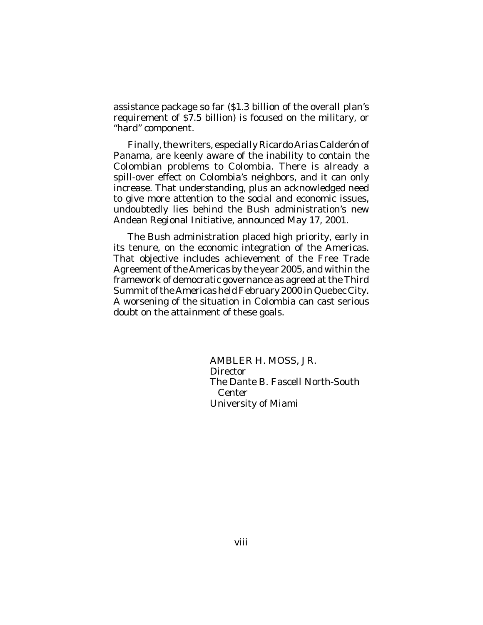assistance package so far (\$1.3 billion of the overall plan's requirement of \$7.5 billion) is focused on the military, or "hard" component.

Finally, the writers, especially Ricardo Arias Calderón of Panama, are keenly aware of the inability to contain the Colombian problems to Colombia. There is already a spill-over effect on Colombia's neighbors, and it can only increase. That understanding, plus an acknowledged need to give more attention to the social and economic issues, undoubtedly lies behind the Bush administration's new Andean Regional Initiative, announced May 17, 2001.

The Bush administration placed high priority, early in its tenure, on the economic integration of the Americas. That objective includes achievement of the Free Trade Agreement of the Americas by the year 2005, and within the framework of democratic governance as agreed at the Third Summit of the Americas held February 2000 in Quebec City. A worsening of the situation in Colombia can cast serious doubt on the attainment of these goals.

> AMBLER H. MOSS, JR. Director The Dante B. Fascell North-South Center University of Miami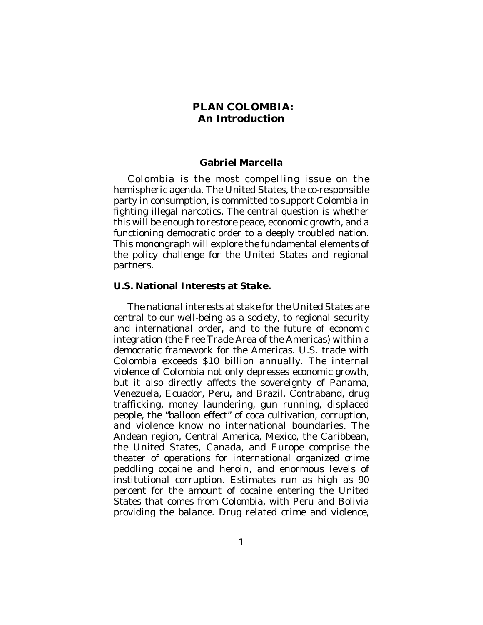## **PLAN COLOMBIA: An Introduction**

### **Gabriel Marcella**

Colombia is the most compelling issue on the hemispheric agenda. The United States, the co-responsible party in consumption, is committed to support Colombia in fighting illegal narcotics. The central question is whether this will be enough to restore peace, economic growth, and a functioning democratic order to a deeply troubled nation. This monongraph will explore the fundamental elements of the policy challenge for the United States and regional partners.

#### **U.S. National Interests at Stake.**

The national interests at stake for the United States are central to our well-being as a society, to regional security and international order, and to the future of economic integration (the Free Trade Area of the Americas) within a democratic framework for the Americas. U.S. trade with Colombia exceeds \$10 billion annually. The internal violence of Colombia not only depresses economic growth, but it also directly affects the sovereignty of Panama, Venezuela, Ecuador, Peru, and Brazil. Contraband, drug trafficking, money laundering, gun running, displaced people, the "balloon effect" of coca cultivation, corruption, and violence know no international boundaries. The Andean region, Central America, Mexico, the Caribbean, the United States, Canada, and Europe comprise the theater of operations for international organized crime peddling cocaine and heroin, and enormous levels of institutional corruption. Estimates run as high as 90 percent for the amount of cocaine entering the United States that comes from Colombia, with Peru and Bolivia providing the balance. Drug related crime and violence,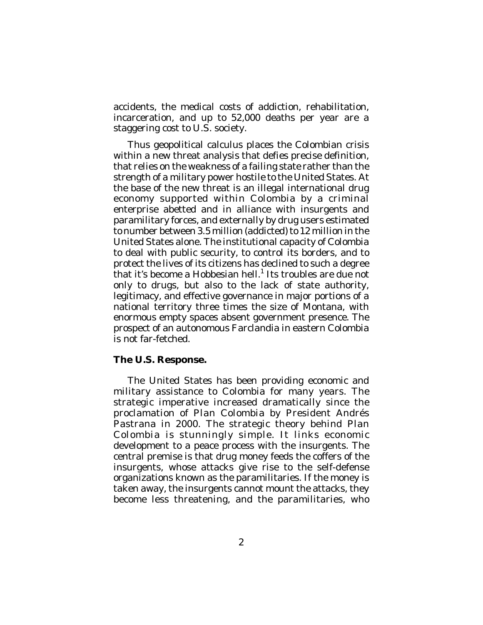accidents, the medical costs of addiction, rehabilitation, incarceration, and up to 52,000 deaths per year are a staggering cost to U.S. society.

Thus geopolitical calculus places the Colombian crisis within a new threat analysis that defies precise definition, that relies on the weakness of a failing state rather than the strength of a military power hostile to the United States. At the base of the new threat is an illegal international drug economy supported within Colombia by a criminal enterprise abetted and in alliance with insurgents and paramilitary forces, and externally by drug users estimated to number between 3.5 million (addicted) to 12 million in the United States alone. The institutional capacity of Colombia to deal with public security, to control its borders, and to protect the lives of its citizens has declined to such a degree that it's become a Hobbesian hell.<sup>1</sup> Its troubles are due not only to drugs, but also to the lack of state authority, legitimacy, and effective governance in major portions of a national territory three times the size of Montana, with enormous empty spaces absent government presence. The prospect of an autonomous Farclandia in eastern Colombia is not far-fetched.

## **The U.S. Response.**

The United States has been providing economic and military assistance to Colombia for many years. The strategic imperative increased dramatically since the proclamation of *Plan Colombi*a by President Andrés Pastrana in 2000. The strategic theory behind *Plan Colombia* is stunningly simple. It links economic development to a peace process with the insurgents. The central premise is that drug money feeds the coffers of the insurgents, whose attacks give rise to the self-defense organizations known as the paramilitaries. If the money is taken away, the insurgents cannot mount the attacks, they become less threatening, and the paramilitaries, who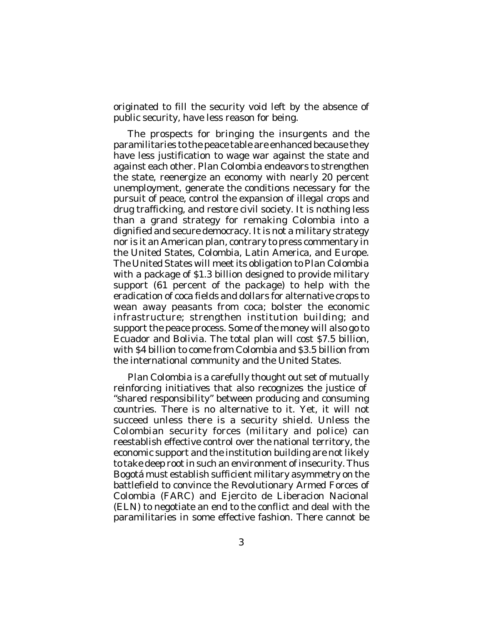originated to fill the security void left by the absence of public security, have less reason for being.

The prospects for bringing the insurgents and the paramilitaries to the peace table are enhanced because they have less justification to wage war against the state and against each other. *Plan Colombia* endeavors to strengthen the state, reenergize an economy with nearly 20 percent unemployment, generate the conditions necessary for the pursuit of peace, control the expansion of illegal crops and drug trafficking, and restore civil society. It is nothing less than a grand strategy for remaking Colombia into a dignified and secure democracy. It is not a military strategy nor is it an American plan, contrary to press commentary in the United States, Colombia, Latin America, and Europe. The United States will meet its obligation to *Plan Colombia* with a package of \$1.3 billion designed to provide military support (61 percent of the package) to help with the eradication of coca fields and dollars for alternative crops to wean away peasants from coca; bolster the economic infrastructure; strengthen institution building; and support the peace process. Some of the money will also go to Ecuador and Bolivia. The total plan will cost \$7.5 billion, with \$4 billion to come from Colombia and \$3.5 billion from the international community and the United States.

*Plan Colombia* is a carefully thought out set of mutually reinforcing initiatives that also recognizes the justice of "shared responsibility" between producing and consuming countries. There is no alternative to it. Yet, it will not succeed unless there is a security shield. Unless the Colombian security forces (military and police) can reestablish effective control over the national territory, the economic support and the institution building are not likely to take deep root in such an environment of insecurity. Thus Bogotá must establish sufficient military asymmetry on the battlefield to convince the Revolutionary Armed Forces of Colombia (FARC) and Ejercito de Liberacion Nacional (ELN) to negotiate an end to the conflict and deal with the paramilitaries in some effective fashion. There cannot be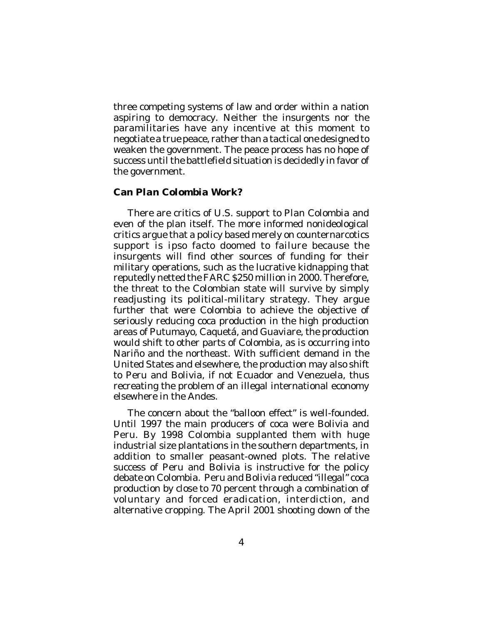three competing systems of law and order within a nation aspiring to democracy. Neither the insurgents nor the paramilitaries have any incentive at this moment to negotiate a true peace, rather than a tactical one designed to weaken the government. The peace process has no hope of success until the battlefield situation is decidedly in favor of the government.

### **Can** *Plan Colombia* **Work?**

There are critics of U.S. support to *Plan Colombia* and even of the plan itself. The more informed nonideological critics argue that a policy based merely on counternarcotics support is *ipso facto* doomed to failure because the insurgents will find other sources of funding for their military operations, such as the lucrative kidnapping that reputedly netted the FARC \$250 million in 2000. Therefore, the threat to the Colombian state will survive by simply readjusting its political-military strategy. They argue further that were Colombia to achieve the objective of seriously reducing coca production in the high production areas of Putumayo, Caquetá, and Guaviare, the production would shift to other parts of Colombia, as is occurring into Nariño and the northeast. With sufficient demand in the United States and elsewhere, the production may also shift to Peru and Bolivia, if not Ecuador and Venezuela, thus recreating the problem of an illegal international economy elsewhere in the Andes.

The concern about the "balloon effect" is well-founded. Until 1997 the main producers of coca were Bolivia and Peru. By 1998 Colombia supplanted them with huge industrial size plantations in the southern departments, in addition to smaller peasant-owned plots. The relative success of Peru and Bolivia is instructive for the policy debate on Colombia. Peru and Bolivia reduced "illegal" coca production by close to 70 percent through a combination of voluntary and forced eradication, interdiction, and alternative cropping. The April 2001 shooting down of the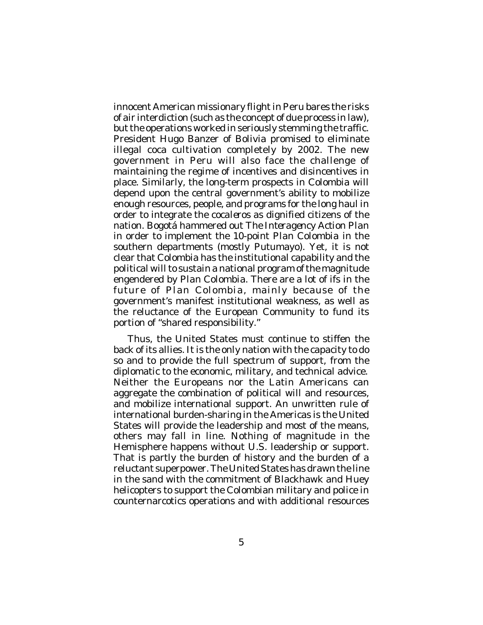innocent American missionary flight in Peru bares the risks of air interdiction (such as the concept of due process in law), but the operations worked in seriously stemming the traffic. President Hugo Banzer of Bolivia promised to eliminate illegal coca cultivation completely by 2002. The new government in Peru will also face the challenge of maintaining the regime of incentives and disincentives in place. Similarly, the long-term prospects in Colombia will depend upon the central government's ability to mobilize enough resources, people, and programs for the long haul in order to integrate the *cocaleros* as dignified citizens of the nation. Bogotá hammered out *The Interagency Action Plan* in order to implement the 10-point *Plan Colombia* in the southern departments (mostly Putumayo). Yet, it is not clear that Colombia has the institutional capability and the political will to sustain a national program of the magnitude engendered by *Plan Colombia*. There are a lot of ifs in the future of *Plan Colombia*, mainly because of the government's manifest institutional weakness, as well as the reluctance of the European Community to fund its portion of "shared responsibility."

Thus, the United States must continue to stiffen the back of its allies. It is the only nation with the capacity to do so and to provide the full spectrum of support, from the diplomatic to the economic, military, and technical advice. Neither the Europeans nor the Latin Americans can aggregate the combination of political will and resources, and mobilize international support. An unwritten rule of international burden-sharing in the Americas is the United States will provide the leadership and most of the means, others may fall in line. Nothing of magnitude in the Hemisphere happens without U.S. leadership or support. That is partly the burden of history and the burden of a reluctant superpower. The United States has drawn the line in the sand with the commitment of Blackhawk and Huey helicopters to support the Colombian military and police in counternarcotics operations and with additional resources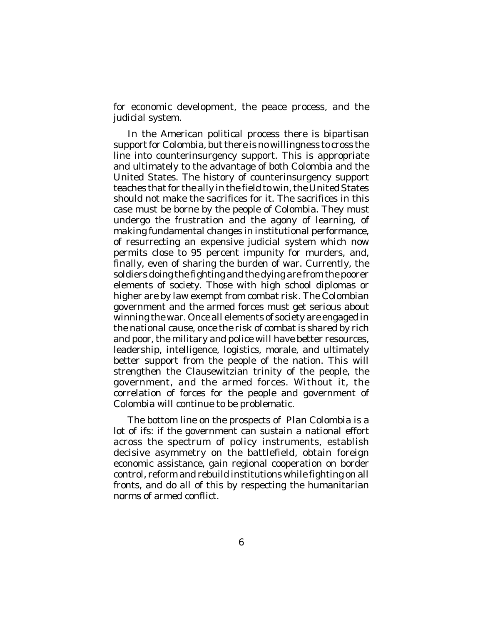for economic development, the peace process, and the judicial system.

In the American political process there is bipartisan support for Colombia, but there is no willingness to cross the line into counterinsurgency support. This is appropriate and ultimately to the advantage of both Colombia and the United States. The history of counterinsurgency support teaches that for the ally in the field to win, the United States should not make the sacrifices for it. The sacrifices in this case must be borne by the people of Colombia. They must undergo the frustration and the agony of learning, of making fundamental changes in institutional performance, of resurrecting an expensive judicial system which now permits close to 95 percent impunity for murders, and, finally, even of sharing the burden of war. Currently, the soldiers doing the fighting and the dying are from the poorer elements of society. Those with high school diplomas or higher are by law exempt from combat risk. The Colombian government and the armed forces must get serious about winning the war. Once all elements of society are engaged in the national cause, once the risk of combat is shared by rich and poor, the military and police will have better resources, leadership, intelligence, logistics, morale, and ultimately better support from the people of the nation. This will strengthen the Clausewitzian trinity of the people, the government, and the armed forces. Without it, the correlation of forces for the people and government of Colombia will continue to be problematic.

The bottom line on the prospects of *Plan Colombia* is a lot of ifs: if the government can sustain a national effort across the spectrum of policy instruments, establish decisive asymmetry on the battlefield, obtain foreign economic assistance, gain regional cooperation on border control, reform and rebuild institutions while fighting on all fronts, and do all of this by respecting the humanitarian norms of armed conflict.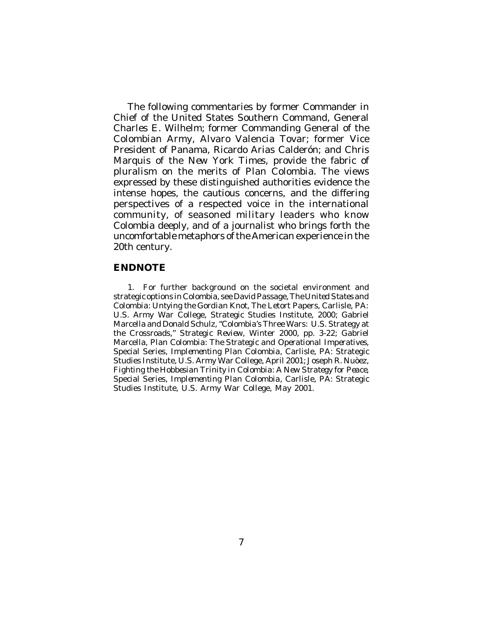The following commentaries by former Commander in Chief of the United States Southern Command, General Charles E. Wilhelm; former Commanding General of the Colombian Army, Alvaro Valencia Tovar; former Vice President of Panama, Ricardo Arias Calderón; and Chris Marquis of the *New York Times*, provide the fabric of pluralism on the merits of Plan Colombia. The views expressed by these distinguished authorities evidence the intense hopes, the cautious concerns, and the differing perspectives of a respected voice in the international community, of seasoned military leaders who know Colombia deeply, and of a journalist who brings forth the uncomfortable metaphors of the American experience in the 20th century.

### **ENDNOTE**

1. For further background on the societal environment and strategic options in Colombia, see David Passage,*The United States and Colombia: Untying the Gordian Knot*, The Letort Papers, Carlisle, PA: U.S. Army War College, Strategic Studies Institute, 2000; Gabriel Marcella and Donald Schulz, "Colombia's Three Wars: U.S. Strategy at the Crossroads," *Strategic Review*, Winter 2000, pp. 3-22; Gabriel Marcella, *Plan Colombia: The Strategic and Operational Imperatives*, Special Series, *Implementing Plan Colombia*, Carlisle, PA: Strategic Studies Institute, U.S. Army War College, April 2001; Joseph R. Nuòez, *Fighting the Hobbesian Trinity in Colombia: A New Strategy for Peace*, Special Series, *Implementing Plan Colombia*, Carlisle, PA: Strategic Studies Institute, U.S. Army War College, May 2001.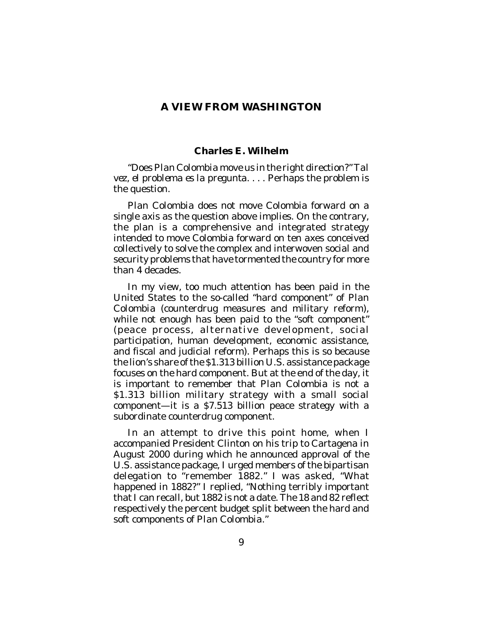## **A VIEW FROM WASHINGTON**

#### **Charles E. Wilhelm**

"Does *Plan Colombia* move us in the right direction?"*Tal vez, el problema es la pregunta*. . . . Perhaps the problem is the question.

*Plan Colombia* does not move Colombia forward on a single axis as the question above implies. On the contrary, the plan is a comprehensive and integrated strategy intended to move Colombia forward on ten axes conceived collectively to solve the complex and interwoven social and security problems that have tormented the country for more than 4 decades.

In my view, too much attention has been paid in the United States to the so-called "hard component" of *Plan Colombia* (counterdrug measures and military reform), while not enough has been paid to the "soft component" (peace process, alternative development, social participation, human development, economic assistance, and fiscal and judicial reform). Perhaps this is so because the lion's share of the \$1.313 billion U.S. assistance package focuses on the hard component. But at the end of the day, it is important to remember that *Plan Colombia* is not a \$1.313 billion military strategy with a small social component—it is a \$7.513 billion peace strategy with a subordinate counterdrug component.

In an attempt to drive this point home, when I accompanied President Clinton on his trip to Cartagena in August 2000 during which he announced approval of the U.S. assistance package, I urged members of the bipartisan delegation to "remember 1882." I was asked, "What happened in 1882?" I replied, "Nothing terribly important that I can recall, but 1882 is not a date. The 18 and 82 reflect respectively the percent budget split between the hard and soft components of *Plan Colombia*."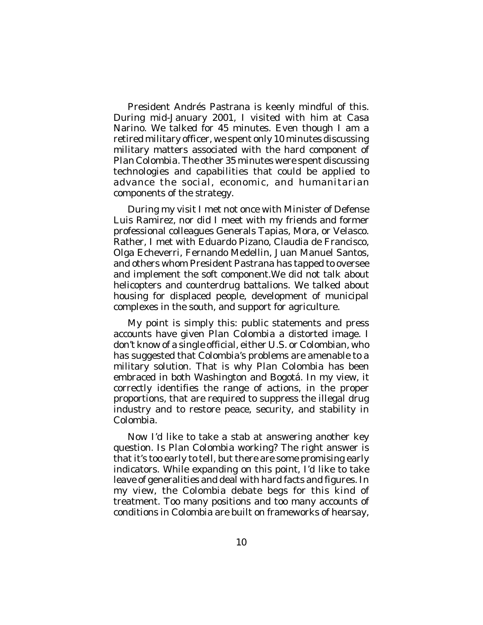President Andrés Pastrana is keenly mindful of this. During mid-January 2001, I visited with him at Casa Narino. We talked for 45 minutes. Even though I am a retired military officer, we spent only 10 minutes discussing military matters associated with the hard component of *Plan Colombia*. The other 35 minutes were spent discussing technologies and capabilities that could be applied to advance the social, economic, and humanitarian components of the strategy.

During my visit I met not once with Minister of Defense Luis Ramirez, nor did I meet with my friends and former professional colleagues Generals Tapias, Mora, or Velasco. Rather, I met with Eduardo Pizano, Claudia de Francisco, Olga Echeverri, Fernando Medellin, Juan Manuel Santos, and others whom President Pastrana has tapped to oversee and implement the soft component.We did not talk about helicopters and counterdrug battalions. We talked about housing for displaced people, development of municipal complexes in the south, and support for agriculture.

My point is simply this: public statements and press accounts have given *Plan Colombia* a distorted image. I don't know of a single official, either U.S. or Colombian, who has suggested that Colombia's problems are amenable to a military solution. That is why *Plan Colombia* has been embraced in both Washington and Bogotá. In my view, it correctly identifies the range of actions, in the proper proportions, that are required to suppress the illegal drug industry and to restore peace, security, and stability in Colombia.

Now I'd like to take a stab at answering another key question. Is *Plan Colombia* working? The right answer is that it's too early to tell, but there are some promising early indicators. While expanding on this point, I'd like to take leave of generalities and deal with hard facts and figures. In my view, the Colombia debate begs for this kind of treatment. Too many positions and too many accounts of conditions in Colombia are built on frameworks of hearsay,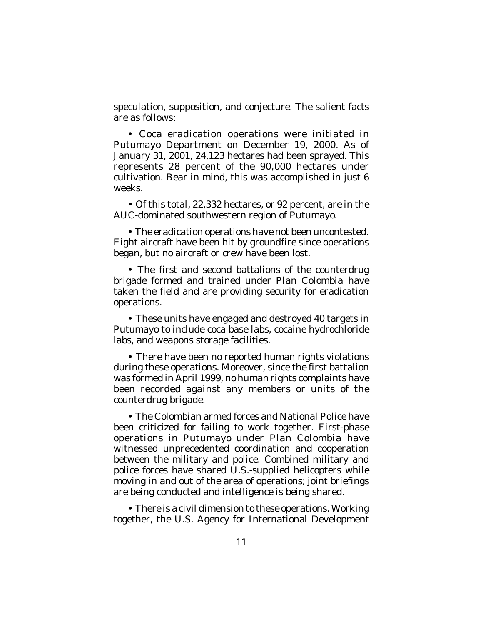speculation, supposition, and conjecture. The salient facts are as follows:

• Coca eradication operations were initiated in Putumayo Department on December 19, 2000. As of January 31, 2001, 24,123 hectares had been sprayed. This represents 28 percent of the 90,000 hectares under cultivation. Bear in mind, this was accomplished in just 6 weeks.

• Of this total, 22,332 hectares, or 92 percent, are in the AUC-dominated southwestern region of Putumayo.

• The eradication operations have not been uncontested. Eight aircraft have been hit by groundfire since operations began, but no aircraft or crew have been lost.

• The first and second battalions of the counterdrug brigade formed and trained under *Plan Colombia* have taken the field and are providing security for eradication operations.

• These units have engaged and destroyed 40 targets in Putumayo to include coca base labs, cocaine hydrochloride labs, and weapons storage facilities.

• There have been no reported human rights violations during these operations. Moreover, since the first battalion was formed in April 1999, no human rights complaints have been recorded against any members or units of the counterdrug brigade.

• The Colombian armed forces and National Police have been criticized for failing to work together. First-phase operations in Putumayo under *Plan Colombia* have witnessed unprecedented coordination and cooperation between the military and police. Combined military and police forces have shared U.S.-supplied helicopters while moving in and out of the area of operations; joint briefings are being conducted and intelligence is being shared.

• There is a civil dimension to these operations. Working together, the U.S. Agency for International Development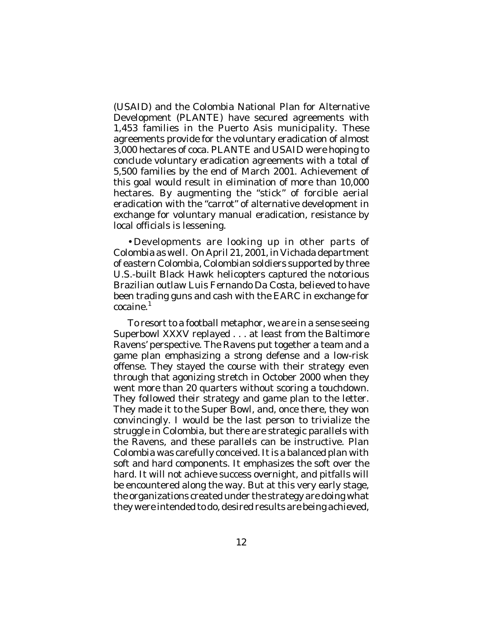(USAID) and the Colombia National Plan for Alternative Development (PLANTE) have secured agreements with 1,453 families in the Puerto Asis municipality. These agreements provide for the voluntary eradication of almost 3,000 hectares of coca. PLANTE and USAID were hoping to conclude voluntary eradication agreements with a total of 5,500 families by the end of March 2001. Achievement of this goal would result in elimination of more than 10,000 hectares. By augmenting the "stick" of forcible aerial eradication with the "carrot" of alternative development in exchange for voluntary manual eradication, resistance by local officials is lessening.

•Developments are looking up in other parts of Colombia as well. On April 21, 2001, in Vichada department of eastern Colombia, Colombian soldiers supported by three U.S.-built Black Hawk helicopters captured the notorious Brazilian outlaw Luis Fernando Da Costa, believed to have been trading guns and cash with the EARC in exchange for cocaine. 1

To resort to a football metaphor, we are in a sense seeing Superbowl XXXV replayed . . . at least from the Baltimore Ravens' perspective. The Ravens put together a team and a game plan emphasizing a strong defense and a low-risk offense. They stayed the course with their strategy even through that agonizing stretch in October 2000 when they went more than 20 quarters without scoring a touchdown. They followed their strategy and game plan to the letter. They made it to the Super Bowl, and, once there, they won convincingly. I would be the last person to trivialize the struggle in Colombia, but there are strategic parallels with the Ravens, and these parallels can be instructive. *Plan Colombia* was carefully conceived. It is a balanced plan with soft and hard components. It emphasizes the soft over the hard. It will not achieve success overnight, and pitfalls will be encountered along the way. But at this very early stage, the organizations created under the strategy are doing what they were intended to do, desired results are being achieved,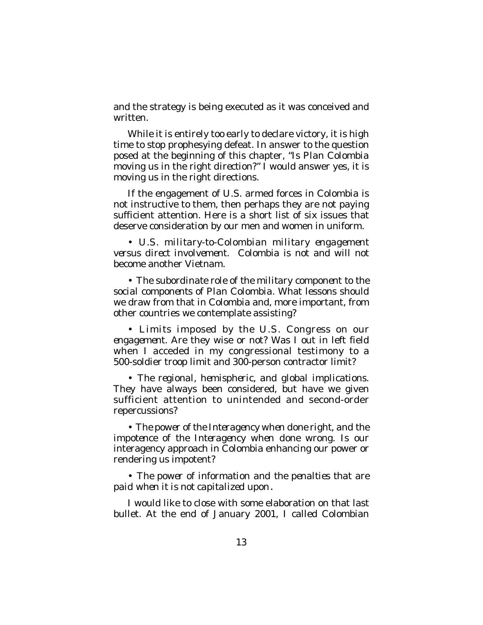and the strategy is being executed as it was conceived and written.

While it is entirely too early to declare victory, it is high time to stop prophesying defeat. In answer to the question posed at the beginning of this chapter, "Is *Plan Colombia* moving us in the right *direction*?" I would answer yes, it is moving us in the right directions.

If the engagement of U.S. armed forces in Colombia is not instructive to them, then perhaps they are not paying sufficient attention. Here is a short list of six issues that deserve consideration by our men and women in uniform.

• *U.S. military-to-Colombian military engagement versus direct involvement*. Colombia is not and will not become another Vietnam.

• *The subordinate role of the military component to the social components of Plan Colombia*. What lessons should we draw from that in Colombia and, more important, from other countries we contemplate assisting?

• *Limits imposed by the U.S. Congress on our engagement*. Are they wise or not? Was I out in left field when I acceded in my congressional testimony to a 500-soldier troop limit and 300-person contractor limit?

• *The regional, hemispheric, and global implications*. They have always been considered, but have we given sufficient attention to unintended and second-order repercussions?

• *The power of the Interagency when done right, and the impotence of the Interagency when done wrong*. Is our interagency approach in Colombia enhancing our power or rendering us impotent?

• *The power of information and the penalties that are paid when it is not capitalized upon*.

I would like to close with some elaboration on that last bullet. At the end of January 2001, I called Colombian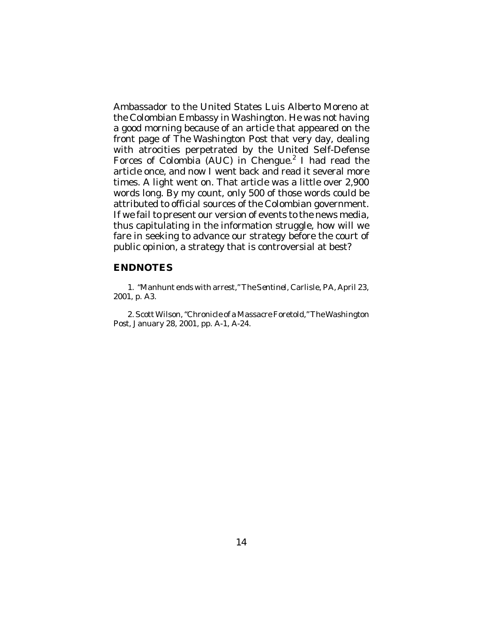Ambassador to the United States Luis Alberto Moreno at the Colombian Embassy in Washington. He was not having a good morning because of an article that appeared on the front page of *The Washington Post* that very day, dealing with atrocities perpetrated by the United Self-Defense Forces of Colombia (AUC) in Chengue.<sup>2</sup> I had read the article once, and now I went back and read it several more times. A light went on. That article was a little over 2,900 words long. By my count, only 500 of those words could be attributed to official sources of the Colombian government. If we fail to present our version of events to the news media, thus capitulating in the information struggle, how will we fare in seeking to advance our strategy before the court of public opinion, a strategy that is controversial at best?

## **ENDNOTES**

1. "Manhunt ends with arrest," *The Sentinel*, Carlisle, PA, April 23, 2001, p. A3.

2. Scott Wilson, "Chronicle of a Massacre Foretold,"*The Washington Post*, January 28, 2001, pp. A-1, A-24.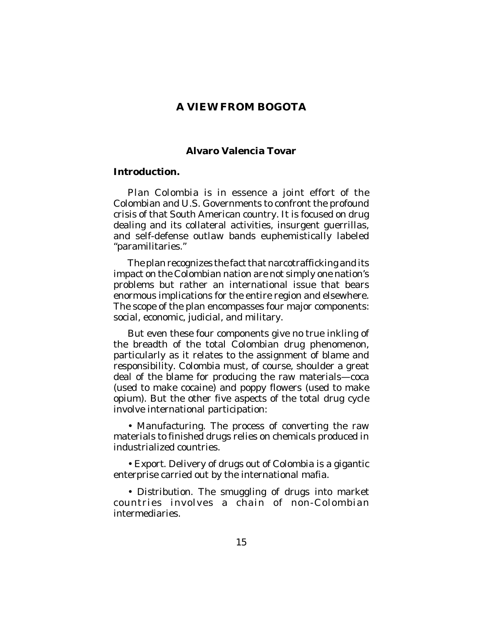## **A VIEW FROM BOGOTA**

## **Alvaro Valencia Tovar**

### **Introduction.**

*Plan Colombia* is in essence a joint effort of the Colombian and U.S. Governments to confront the profound crisis of that South American country. It is focused on drug dealing and its collateral activities, insurgent guerrillas, and self-defense outlaw bands euphemistically labeled "paramilitaries."

The plan recognizes the fact that narcotrafficking and its impact on the Colombian nation are not simply one nation's problems but rather an international issue that bears enormous implications for the entire region and elsewhere. The scope of the plan encompasses four major components: social, economic, judicial, and military.

But even these four components give no true inkling of the breadth of the total Colombian drug phenomenon, particularly as it relates to the assignment of blame and responsibility. Colombia must, of course, shoulder a great deal of the blame for producing the raw materials—coca (used to make cocaine) and poppy flowers (used to make opium). But the other five aspects of the total drug cycle involve international participation:

• *Manufacturing*. The process of converting the raw materials to finished drugs relies on chemicals produced in industrialized countries.

• *Export*. Delivery of drugs out of Colombia is a gigantic enterprise carried out by the international mafia.

• *Distribution*. The smuggling of drugs into market countries involves a chain of non-Colombian intermediaries.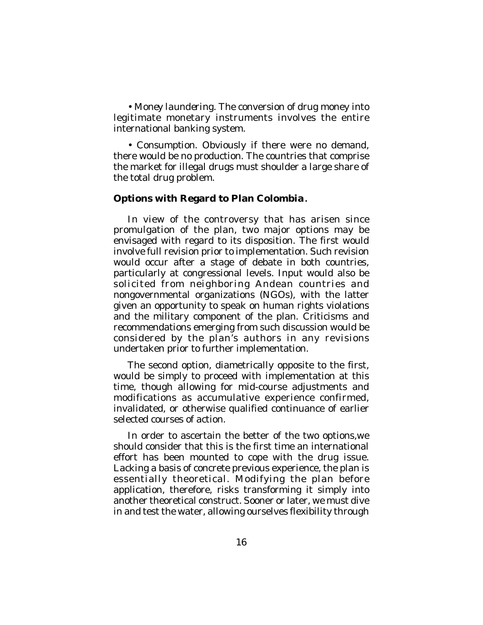• *Money laundering*. The conversion of drug money into legitimate monetary instruments involves the entire international banking system.

• *Consumption*. Obviously if there were no demand, there would be no production. The countries that comprise the market for illegal drugs must shoulder a large share of the total drug problem.

## **Options with Regard to Plan Colombia.**

In view of the controversy that has arisen since promulgation of the plan, two major options may be envisaged with regard to its disposition. The first would involve full revision prior to implementation. Such revision would occur after a stage of debate in both countries, particularly at congressional levels. Input would also be solicited from neighboring Andean countries and nongovernmental organizations (NGOs), with the latter given an opportunity to speak on human rights violations and the military component of the plan. Criticisms and recommendations emerging from such discussion would be considered by the plan's authors in any revisions undertaken prior to further implementation.

The second option, diametrically opposite to the first, would be simply to proceed with implementation at this time, though allowing for mid-course adjustments and modifications as accumulative experience confirmed, invalidated, or otherwise qualified continuance of earlier selected courses of action.

In order to ascertain the better of the two options,we should consider that this is the first time an international effort has been mounted to cope with the drug issue. Lacking a basis of concrete previous experience, the plan is essentially theoretical. Modifying the plan before application, therefore, risks transforming it simply into another theoretical construct. Sooner or later, we must dive in and test the water, allowing ourselves flexibility through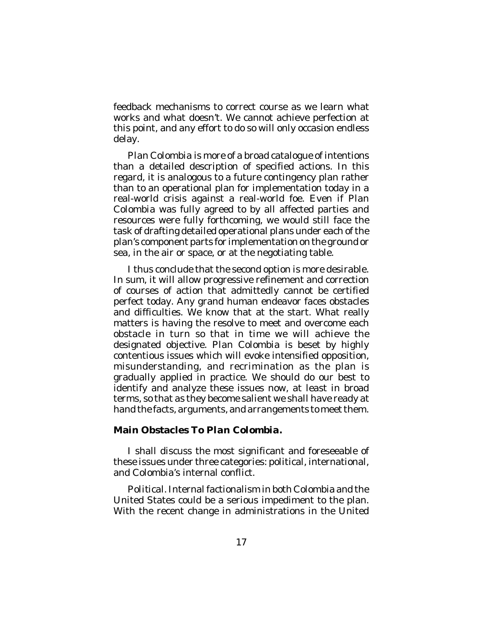feedback mechanisms to correct course as we learn what works and what doesn't. We cannot achieve perfection at this point, and any effort to do so will only occasion endless delay.

*Plan Colombia* is more of a broad catalogue of intentions than a detailed description of specified actions. In this regard, it is analogous to a future contingency plan rather than to an operational plan for implementation today in a real-world crisis against a real-world foe. Even if *Plan Colombia* was fully agreed to by all affected parties and resources were fully forthcoming, we would still face the task of drafting detailed operational plans under each of the plan's component parts for implementation on the ground or sea, in the air or space, or at the negotiating table.

I thus conclude that the second option is more desirable. In sum, it will allow progressive refinement and correction of courses of action that admittedly cannot be certified perfect today. Any grand human endeavor faces obstacles and difficulties. We know that at the start. What really matters is having the resolve to meet and overcome each obstacle in turn so that in time we will achieve the designated objective. *Plan Colombia* is beset by highly contentious issues which will evoke intensified opposition, misunderstanding, and recrimination as the plan is gradually applied in practice. We should do our best to identify and analyze these issues now, at least in broad terms, so that as they become salient we shall have ready at hand the facts, arguments, and arrangements to meet them.

## **Main Obstacles To** *Plan Colombia***.**

I shall discuss the most significant and foreseeable of these issues under three categories: political, international, and Colombia's internal conflict.

*Political*. Internal factionalism in both Colombia and the United States could be a serious impediment to the plan. With the recent change in administrations in the United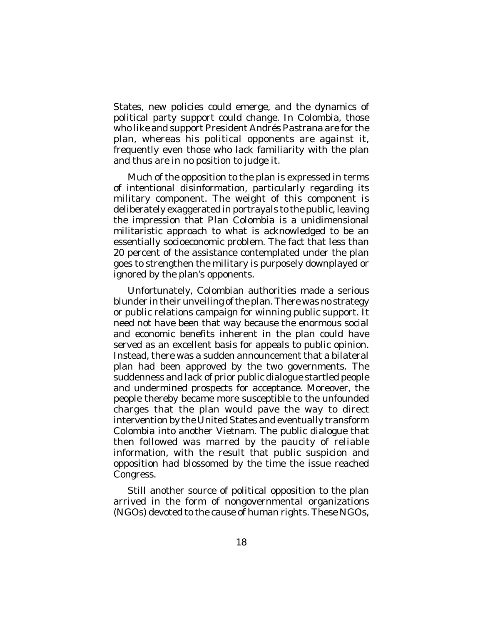States, new policies could emerge, and the dynamics of political party support could change. In Colombia, those who like and support President Andrés Pastrana are for the plan, whereas his political opponents are against it, frequently even those who lack familiarity with the plan and thus are in no position to judge it.

Much of the opposition to the plan is expressed in terms of intentional disinformation, particularly regarding its military component. The weight of this component is deliberately exaggerated in portrayals to the public, leaving the impression that *Plan Colombia* is a unidimensional militaristic approach to what is acknowledged to be an essentially socioeconomic problem. The fact that less than 20 percent of the assistance contemplated under the plan goes to strengthen the military is purposely downplayed or ignored by the plan's opponents.

Unfortunately, Colombian authorities made a serious blunder in their unveiling of the plan. There was no strategy or public relations campaign for winning public support. It need not have been that way because the enormous social and economic benefits inherent in the plan could have served as an excellent basis for appeals to public opinion. Instead, there was a sudden announcement that a bilateral plan had been approved by the two governments. The suddenness and lack of prior public dialogue startled people and undermined prospects for acceptance. Moreover, the people thereby became more susceptible to the unfounded charges that the plan would pave the way to direct intervention by the United States and eventually transform Colombia into another Vietnam. The public dialogue that then followed was marred by the paucity of reliable information, with the result that public suspicion and opposition had blossomed by the time the issue reached Congress.

Still another source of political opposition to the plan arrived in the form of nongovernmental organizations (NGOs) devoted to the cause of human rights. These NGOs,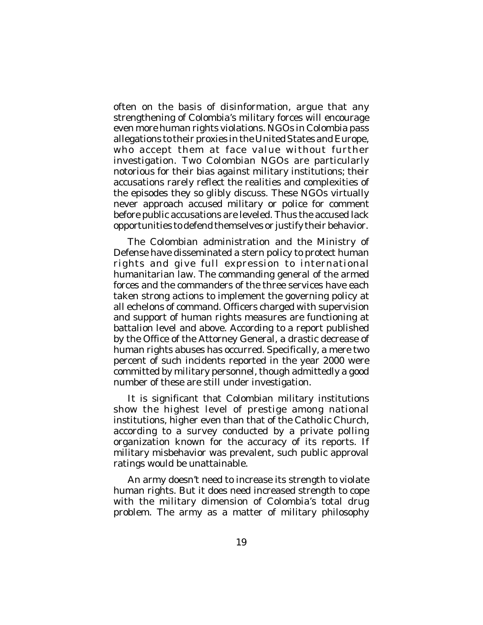often on the basis of disinformation, argue that any strengthening of Colombia's military forces will encourage even more human rights violations. NGOs in Colombia pass allegations to their proxies in the United States and Europe, who accept them at face value without further investigation. Two Colombian NGOs are particularly notorious for their bias against military institutions; their accusations rarely reflect the realities and complexities of the episodes they so glibly discuss. These NGOs virtually never approach accused military or police for comment before public accusations are leveled. Thus the accused lack opportunities to defend themselves or justify their behavior.

The Colombian administration and the Ministry of Defense have disseminated a stern policy to protect human rights and give full expression to international humanitarian law. The commanding general of the armed forces and the commanders of the three services have each taken strong actions to implement the governing policy at all echelons of command. Officers charged with supervision and support of human rights measures are functioning at battalion level and above. According to a report published by the Office of the Attorney General, a drastic decrease of human rights abuses has occurred. Specifically, a mere two percent of such incidents reported in the year 2000 were committed by military personnel, though admittedly a good number of these are still under investigation.

It is significant that Colombian military institutions show the highest level of prestige among national institutions, higher even than that of the Catholic Church, according to a survey conducted by a private polling organization known for the accuracy of its reports. If military misbehavior was prevalent, such public approval ratings would be unattainable.

An army doesn't need to increase its strength to violate human rights. But it does need increased strength to cope with the military dimension of Colombia's total drug problem. The army as a matter of military philosophy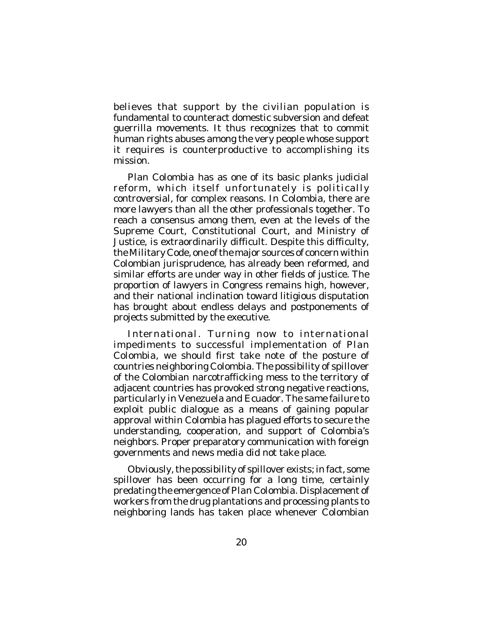believes that support by the civilian population is fundamental to counteract domestic subversion and defeat guerrilla movements. It thus recognizes that to commit human rights abuses among the very people whose support it requires is counterproductive to accomplishing its mission.

*Plan Colombia* has as one of its basic planks judicial reform, which itself unfortunately is politically controversial, for complex reasons. In Colombia, there are more lawyers than all the other professionals together. To reach a consensus among them, even at the levels of the Supreme Court, Constitutional Court, and Ministry of Justice, is extraordinarily difficult. Despite this difficulty, the Military Code, one of the major sources of concern within Colombian jurisprudence, has already been reformed, and similar efforts are under way in other fields of justice. The proportion of lawyers in Congress remains high, however, and their national inclination toward litigious disputation has brought about endless delays and postponements of projects submitted by the executive.

*International*. Turning now to international impediments to successful implementation of *Plan Colombia*, we should first take note of the posture of countries neighboring Colombia. The possibility of spillover of the Colombian narcotrafficking mess to the territory of adjacent countries has provoked strong negative reactions, particularly in Venezuela and Ecuador. The same failure to exploit public dialogue as a means of gaining popular approval *within* Colombia has plagued efforts to secure the understanding, cooperation, and support of Colombia's neighbors. Proper preparatory communication with foreign governments and news media did not take place.

Obviously, the possibility of spillover exists; in fact, some spillover has been occurring for a long time, certainly predating the emergence of*Plan Colombia*. Displacement of workers from the drug plantations and processing plants to neighboring lands has taken place whenever Colombian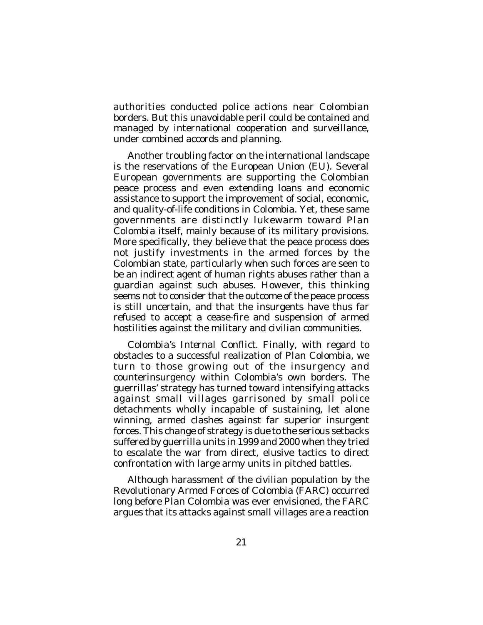authorities conducted police actions near Colombian borders. But this unavoidable peril could be contained and managed by international cooperation and surveillance, under combined accords and planning.

Another troubling factor on the international landscape is the reservations of the European Union (EU). Several European governments are supporting the Colombian peace process and even extending loans and economic assistance to support the improvement of social, economic, and quality-of-life conditions in Colombia. Yet, these same governments are distinctly lukewarm toward *Plan Colombia* itself, mainly because of its military provisions. More specifically, they believe that the peace process does not justify investments in the armed forces by the Colombian state, particularly when such forces are seen to be an indirect agent of human rights abuses rather than a guardian against such abuses. However, this thinking seems not to consider that the outcome of the peace process is still uncertain, and that the insurgents have thus far refused to accept a cease-fire and suspension of armed hostilities against the military and civilian communities.

*Colombia's Internal Conflict*. Finally, with regard to obstacles to a successful realization of *Plan Colombia*, we turn to those growing out of the insurgency and counterinsurgency within Colombia's own borders. The guerrillas' strategy has turned toward intensifying attacks against small villages garrisoned by small police detachments wholly incapable of sustaining, let alone winning, armed clashes against far superior insurgent forces. This change of strategy is due to the serious setbacks suffered by guerrilla units in 1999 and 2000 when they tried to escalate the war from direct, elusive tactics to direct confrontation with large army units in pitched battles.

Although harassment of the civilian population by the Revolutionary Armed Forces of Colombia (FARC) occurred long before *Plan Colombia* was ever envisioned, the FARC argues that its attacks against small villages are a reaction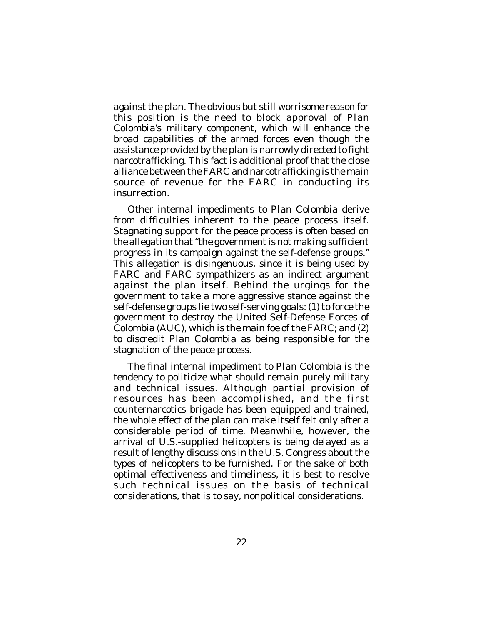against the plan. The obvious but still worrisome reason for this position is the need to block approval of *Plan Colombia*'s military component, which will enhance the broad capabilities of the armed forces even though the assistance provided by the plan is narrowly directed to fight narcotrafficking. This fact is additional proof that the close alliance between the FARC and narcotrafficking is the main source of revenue for the FARC in conducting its insurrection.

Other internal impediments to *Plan Colombia* derive from difficulties inherent to the peace process itself. Stagnating support for the peace process is often based on the allegation that "the government is not making sufficient progress in its campaign against the self-defense groups." This allegation is disingenuous, since it is being used by FARC and FARC sympathizers as an indirect argument against the plan itself. Behind the urgings for the government to take a more aggressive stance against the self-defense groups lie two self-serving goals: (1) to force the government to destroy the United Self-Defense Forces of Colombia (AUC), which is the main foe of the FARC; and (2) to discredit *Plan Colombia* as being responsible for the stagnation of the peace process.

The final internal impediment to *Plan Colombia* is the tendency to politicize what should remain purely military and technical issues. Although partial provision of resources has been accomplished, and the first counternarcotics brigade has been equipped and trained, the whole effect of the plan can make itself felt only after a considerable period of time. Meanwhile, however, the arrival of U.S.-supplied helicopters is being delayed as a result of lengthy discussions in the U.S. Congress about the *types* of helicopters to be furnished. For the sake of both optimal effectiveness and timeliness, it is best to resolve such technical issues on the basis of technical considerations, that is to say, nonpolitical considerations.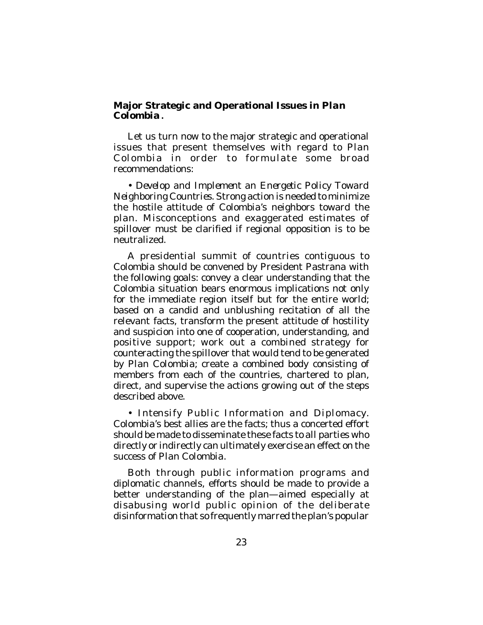## **Major Strategic and Operational Issues in** *Plan Colombia***.**

Let us turn now to the major strategic and operational issues that present themselves with regard to *Plan Colombia* in order to formulate some broad recommendations:

• *Develop and Implement an Energetic Policy Toward Neighboring Countries*. Strong action is needed to minimize the hostile attitude of Colombia's neighbors toward the plan. Misconceptions and exaggerated estimates of spillover must be clarified if regional opposition is to be neutralized.

A presidential summit of countries contiguous to Colombia should be convened by President Pastrana with the following goals: convey a clear understanding that the Colombia situation bears enormous implications not only for the immediate region itself but for the entire world; based on a candid and unblushing recitation of all the relevant facts, transform the present attitude of hostility and suspicion into one of cooperation, understanding, and positive support; work out a combined strategy for counteracting the spillover that would tend to be generated by *Plan Colombia*; create a combined body consisting of members from each of the countries, chartered to plan, direct, and supervise the actions growing out of the steps described above.

• *Intensify Public Information and Diplomacy*. Colombia's best allies are the facts; thus a concerted effort should be made to disseminate these facts to all parties who directly or indirectly can ultimately exercise an effect on the success of *Plan Colombia*.

Both through public information programs and diplomatic channels, efforts should be made to provide a better understanding of the plan—aimed especially at disabusing world public opinion of the deliberate disinformation that so frequently marred the plan's popular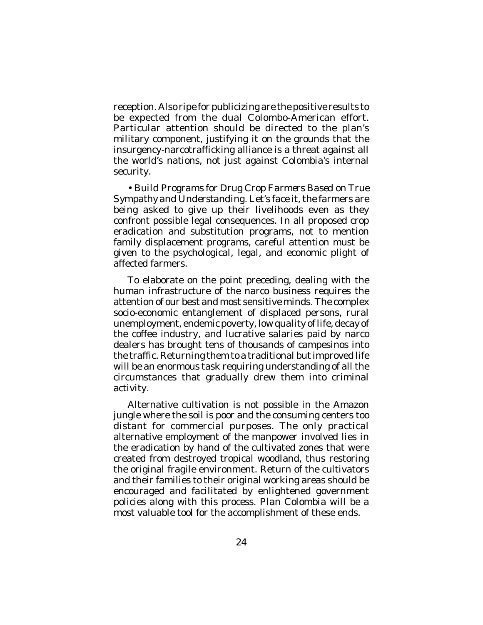reception. Also ripe for publicizing are the positive results to be expected from the dual Colombo-American effort. Particular attention should be directed to the plan's military component, justifying it on the grounds that the insurgency-narcotrafficking alliance is a threat against all the world's nations, not just against Colombia's internal security.

• *Build Programs for Drug Crop Farmers Based on True Sympathy and Understanding*. Let's face it, the farmers are being asked to give up their livelihoods even as they confront possible legal consequences. In all proposed crop eradication and substitution programs, not to mention family displacement programs, careful attention must be given to the psychological, legal, and economic plight of affected farmers.

To elaborate on the point preceding, dealing with the human infrastructure of the narco business requires the attention of our best and most sensitive minds. The complex socio-economic entanglement of displaced persons, rural unemployment, endemic poverty, low quality of life, decay of the coffee industry, and lucrative salaries paid by narco dealers has brought tens of thousands of campesinos into the traffic. Returning them to a traditional but improved life will be an enormous task requiring understanding of all the circumstances that gradually drew them into criminal activity.

Alternative cultivation is not possible in the Amazon jungle where the soil is poor and the consuming centers too distant for commercial purposes. The only practical alternative employment of the manpower involved lies in the eradication by hand of the cultivated zones that were created from destroyed tropical woodland, thus restoring the original fragile environment. Return of the cultivators and their families to their original working areas should be encouraged and facilitated by enlightened government policies along with this process. *Plan Colombia* will be a most valuable tool for the accomplishment of these ends.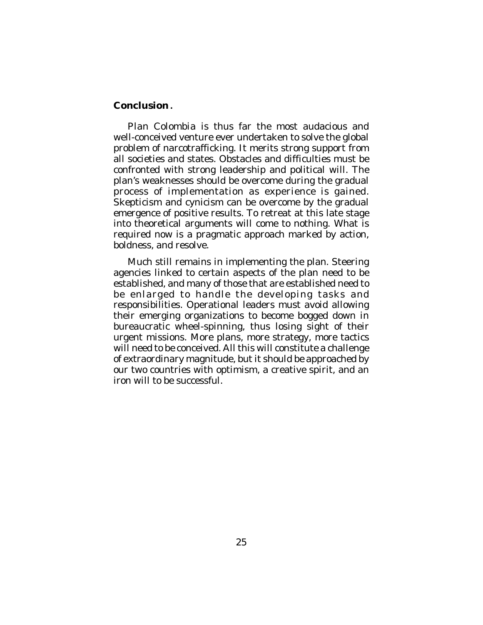### **Conclusion.**

*Plan Colombia* is thus far the most audacious and well-conceived venture ever undertaken to solve the global problem of narcotrafficking. It merits strong support from all societies and states. Obstacles and difficulties must be confronted with strong leadership and political will. The plan's weaknesses should be overcome during the gradual process of implementation as experience is gained. Skepticism and cynicism can be overcome by the gradual emergence of positive results. To retreat at this late stage into theoretical arguments will come to nothing. What is required now is a pragmatic approach marked by action, boldness, and resolve.

Much still remains in implementing the plan. Steering agencies linked to certain aspects of the plan need to be established, and many of those that are established need to be enlarged to handle the developing tasks and responsibilities. Operational leaders must avoid allowing their emerging organizations to become bogged down in bureaucratic wheel-spinning, thus losing sight of their urgent missions. More plans, more strategy, more tactics will need to be conceived. All this will constitute a challenge of extraordinary magnitude, but it should be approached by our two countries with optimism, a creative spirit, and an iron will to be successful.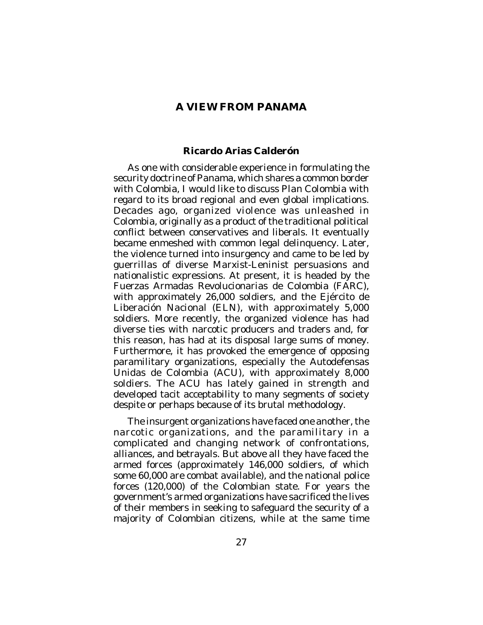## **A VIEW FROM PANAMA**

#### **Ricardo Arias Calderón**

As one with considerable experience in formulating the security doctrine of Panama, which shares a common border with Colombia, I would like to discuss *Plan Colombia* with regard to its broad regional and even global implications. Decades ago, organized violence was unleashed in Colombia, originally as a product of the traditional political conflict between conservatives and liberals. It eventually became enmeshed with common legal delinquency. Later, the violence turned into insurgency and came to be led by guerrillas of diverse Marxist-Leninist persuasions and nationalistic expressions. At present, it is headed by the Fuerzas Armadas Revolucionarias de Colombia (FARC), with approximately 26,000 soldiers, and the Ejército de Liberación Nacional (ELN), with approximately 5,000 soldiers. More recently, the organized violence has had diverse ties with narcotic producers and traders and, for this reason, has had at its disposal large sums of money. Furthermore, it has provoked the emergence of opposing paramilitary organizations, especially the Autodefensas Unidas de Colombia (ACU), with approximately 8,000 soldiers. The ACU has lately gained in strength and developed tacit acceptability to many segments of society despite or perhaps because of its brutal methodology.

The insurgent organizations have faced one another, the narcotic organizations, and the paramilitary in a complicated and changing network of confrontations, alliances, and betrayals. But above all they have faced the armed forces (approximately 146,000 soldiers, of which some 60,000 are combat available), and the national police forces (120,000) of the Colombian state. For years the government's armed organizations have sacrificed the lives of their members in seeking to safeguard the security of a majority of Colombian citizens, while at the same time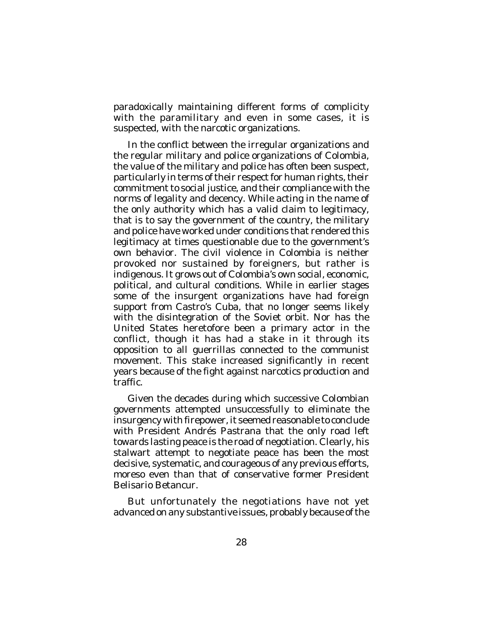paradoxically maintaining different forms of complicity with the paramilitary and even in some cases, it is suspected, with the narcotic organizations.

In the conflict between the irregular organizations and the regular military and police organizations of Colombia, the value of the military and police has often been suspect, particularly in terms of their respect for human rights, their commitment to social justice, and their compliance with the norms of legality and decency. While acting in the name of the only authority which has a valid claim to legitimacy, that is to say the government of the country, the military and police have worked under conditions that rendered this legitimacy at times questionable due to the government's own behavior. The civil violence in Colombia is neither provoked nor sustained by foreigners, but rather is indigenous. It grows out of Colombia's own social, economic, political, and cultural conditions. While in earlier stages some of the insurgent organizations have had foreign support from Castro's Cuba, that no longer seems likely with the disintegration of the Soviet orbit. Nor has the United States heretofore been a primary actor in the conflict, though it has had a stake in it through its opposition to all guerrillas connected to the communist movement. This stake increased significantly in recent years because of the fight against narcotics production and traffic.

Given the decades during which successive Colombian governments attempted unsuccessfully to eliminate the insurgency with firepower, it seemed reasonable to conclude with President Andrés Pastrana that the only road left towards lasting peace is the road of negotiation. Clearly, his stalwart attempt to negotiate peace has been the most decisive, systematic, and courageous of any previous efforts, moreso even than that of conservative former President Belisario Betancur.

But unfortunately the negotiations have not yet advanced on any substantive issues, probably because of the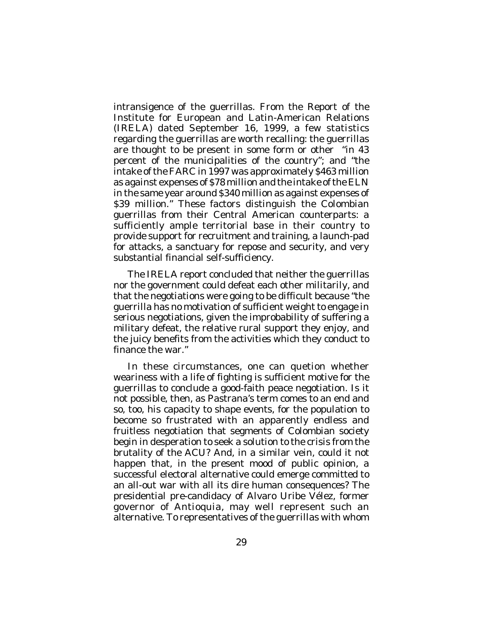intransigence of the guerrillas. From the Report of the Institute for European and Latin-American Relations (IRELA) dated September 16, 1999, a few statistics regarding the guerrillas are worth recalling: the guerrillas are thought to be present in some form or other "in 43 percent of the municipalities of the country"; and "the intake of the FARC in 1997 was approximately \$463 million as against expenses of \$78 million and the intake of the ELN in the same year around \$340 million as against expenses of \$39 million." These factors distinguish the Colombian guerrillas from their Central American counterparts: a sufficiently ample territorial base in their country to provide support for recruitment and training, a launch-pad for attacks, a sanctuary for repose and security, and very substantial financial self-sufficiency.

The IRELA report concluded that neither the guerrillas nor the government could defeat each other militarily, and that the negotiations were going to be difficult because "the guerrilla has no motivation of sufficient weight to engage in serious negotiations, given the improbability of suffering a military defeat, the relative rural support they enjoy, and the juicy benefits from the activities which they conduct to finance the war."

In these circumstances, one can quetion whether weariness with a life of fighting is sufficient motive for the guerrillas to conclude a good-faith peace negotiation. Is it not possible, then, as Pastrana's term comes to an end and so, too, his capacity to shape events, for the population to become so frustrated with an apparently endless and fruitless negotiation that segments of Colombian society begin in desperation to seek a solution to the crisis from the brutality of the ACU? And, in a similar vein, could it not happen that, in the present mood of public opinion, a successful electoral alternative could emerge committed to an all-out war with all its dire human consequences? The presidential pre-candidacy of Alvaro Uribe Vélez, former governor of Antioquia, may well represent such an alternative. To representatives of the guerrillas with whom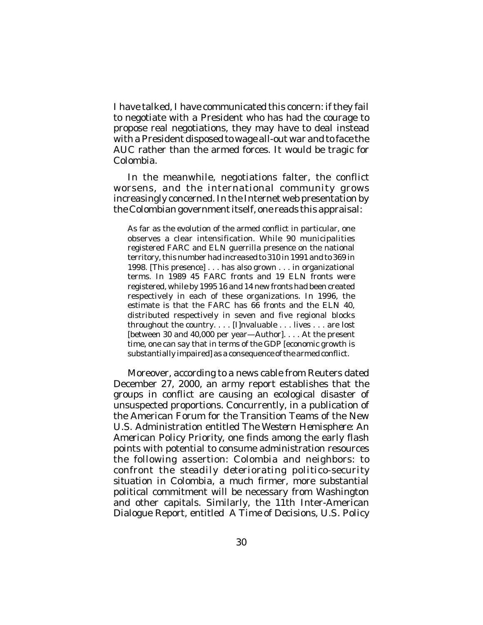I have talked, I have communicated this concern: if they fail to negotiate with a President who has had the courage to propose real negotiations, they may have to deal instead with a President disposed to wage all-out war and to face the AUC rather than the armed forces. It would be tragic for Colombia.

In the meanwhile, negotiations falter, the conflict worsens, and the international community grows increasingly concerned. In the Internet web presentation by the Colombian government itself, one reads this appraisal:

As far as the evolution of the armed conflict in particular, one observes a clear intensification. While 90 municipalities registered FARC and ELN guerrilla presence on the national territory, this number had increased to 310 in 1991 and to 369 in 1998. [This presence] . . . has also grown . . . in organizational terms. In 1989 45 FARC fronts and 19 ELN fronts were registered, while by 1995 16 and 14 new fronts had been created respectively in each of these organizations. In 1996, the estimate is that the FARC has 66 fronts and the ELN 40, distributed respectively in seven and five regional blocks throughout the country. . . . [I]nvaluable . . . lives . . . are lost [between 30 and 40,000 per year-Author]. . . . At the present time, one can say that in terms of the GDP [economic growth is substantially impaired] as a consequence of the armed conflict.

Moreover, according to a news cable from Reuters dated December 27, 2000, an army report establishes that the groups in conflict are causing an ecological disaster of unsuspected proportions. Concurrently, in a publication of the American Forum for the Transition Teams of the New U.S. Administration entitled *The Western Hemisphere: An American Policy Priority*, one finds among the early flash points with potential to consume administration resources the following assertion: Colombia and neighbors: to confront the *steadily deteriorating politico-security situation in Colombia*, a much firmer, more substantial political commitment will be necessary from Washington and other capitals. Similarly, the 11th Inter-American Dialogue Report, entitled *A Time of Decisions, U.S. Policy*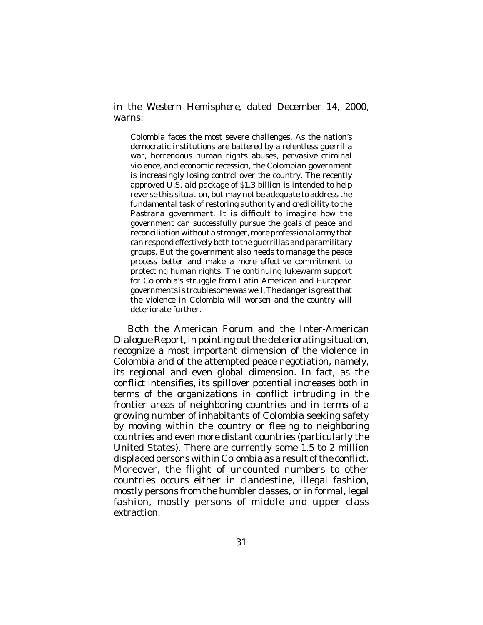*in the Western Hemisphere*, dated December 14, 2000, warns:

Colombia faces the most severe challenges. As the nation's democratic institutions are battered by a relentless guerrilla war, horrendous human rights abuses, pervasive criminal violence, and economic recession, the Colombian government is increasingly losing control over the country. The recently approved U.S. aid package of \$1.3 billion is intended to help reverse this situation, but may not be adequate to address the fundamental task of restoring authority and credibility to the Pastrana government. It is difficult to imagine how the government can successfully pursue the goals of peace and reconciliation without a stronger, more professional army that can respond effectively both to the guerrillas and paramilitary groups. But the government also needs to manage the peace process better and make a more effective commitment to protecting human rights. The continuing lukewarm support for Colombia's struggle from Latin American and European governments is troublesome was well. The danger is great that the violence in Colombia will worsen and the country will deteriorate further.

Both the American Forum and the Inter-American Dialogue Report, in pointing out the deteriorating situation, recognize a most important dimension of the violence in Colombia and of the attempted peace negotiation, namely, its regional and even global dimension. In fact, as the conflict intensifies, its spillover potential increases both in terms of the organizations in conflict intruding in the frontier areas of neighboring countries and in terms of a growing number of inhabitants of Colombia seeking safety by moving within the country or fleeing to neighboring countries and even more distant countries (particularly the United States). There are currently some 1.5 to 2 million displaced persons within Colombia as a result of the conflict. Moreover, the flight of uncounted numbers to other countries occurs either in clandestine, illegal fashion, mostly persons from the humbler classes, or in formal, legal fashion, mostly persons of middle and upper class extraction.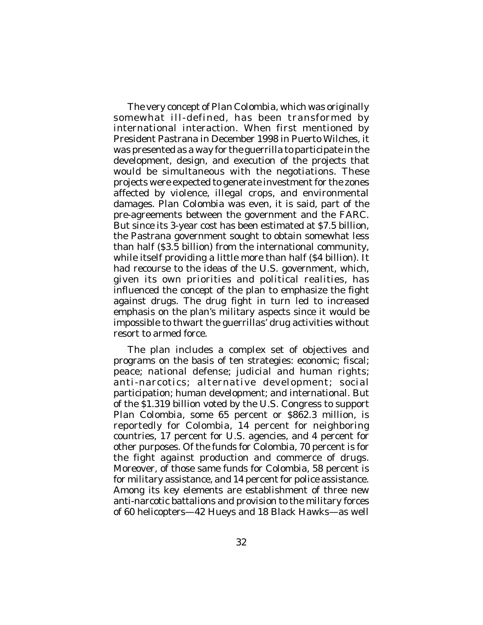The very concept of *Plan Colombia*, which was originally somewhat ill-defined, has been transformed by international interaction. When first mentioned by President Pastrana in December 1998 in Puerto Wilches, it was presented as a way for the guerrilla to participate in the development, design, and execution of the projects that would be simultaneous with the negotiations. These projects were expected to generate investment for the zones affected by violence, illegal crops, and environmental damages. *Plan Colombia* was even, it is said, part of the pre-agreements between the government and the FARC. But since its 3-year cost has been estimated at \$7.5 billion, the Pastrana government sought to obtain somewhat less than half (\$3.5 billion) from the international community, while itself providing a little more than half (\$4 billion). It had recourse to the ideas of the U.S. government, which, given its own priorities and political realities, has influenced the concept of the plan to emphasize the fight against drugs. The drug fight in turn led to increased emphasis on the plan's military aspects since it would be impossible to thwart the guerrillas' drug activities without resort to armed force.

The plan includes a complex set of objectives and programs on the basis of ten strategies: economic; fiscal; peace; national defense; judicial and human rights; anti-narcotics; alternative development; social participation; human development; and international. But of the \$1.319 billion voted by the U.S. Congress to support *Plan Colombia*, some 65 percent or \$862.3 million, is reportedly for Colombia, 14 percent for neighboring countries, 17 percent for U.S. agencies, and 4 percent for other purposes. Of the funds for Colombia, 70 percent is for the fight against production and commerce of drugs. Moreover, of those same funds for Colombia, 58 percent is for military assistance, and 14 percent for police assistance. Among its key elements are establishment of three new anti-narcotic battalions and provision to the military forces of 60 helicopters—42 Hueys and 18 Black Hawks—as well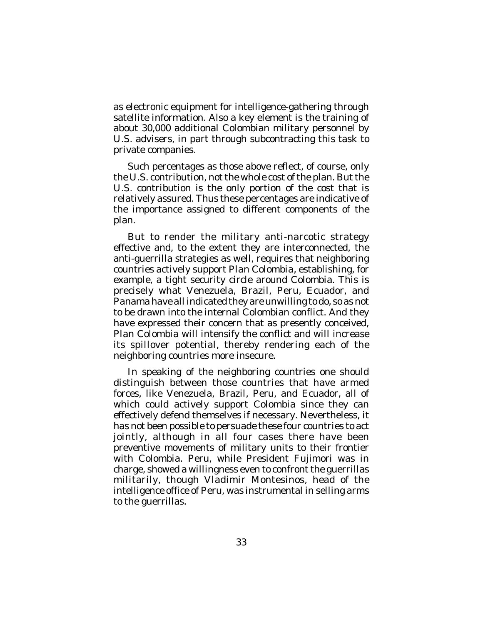as electronic equipment for intelligence-gathering through satellite information. Also a key element is the training of about 30,000 additional Colombian military personnel by U.S. advisers, in part through subcontracting this task to private companies.

Such percentages as those above reflect, of course, only the U.S. contribution, not the whole cost of the plan. But the U.S. contribution is the only portion of the cost that is relatively assured. Thus these percentages are indicative of the importance assigned to different components of the plan.

But to render the military anti-narcotic strategy effective and, to the extent they are interconnected, the anti-guerrilla strategies as well, requires that neighboring countries actively support *Plan Colombia*, establishing, for example, a tight security circle around Colombia. This is precisely what Venezuela, Brazil, Peru, Ecuador, and Panama have all indicated they are unwilling to do, so as not to be drawn into the internal Colombian conflict. And they have expressed their concern that as presently conceived, *Plan Colombia* will intensify the conflict and will increase its spillover potential, thereby rendering each of the neighboring countries more insecure.

In speaking of the neighboring countries one should distinguish between those countries that have armed forces, like Venezuela, Brazil, Peru, and Ecuador, all of which could actively support Colombia since they can effectively defend themselves if necessary. Nevertheless, it has not been possible to persuade these four countries to act jointly, although in all four cases there have been preventive movements of military units to their frontier with Colombia. Peru, while President Fujimori was in charge, showed a willingness even to confront the guerrillas militarily, though Vladimir Montesinos, head of the intelligence office of Peru, was instrumental in selling arms to the guerrillas.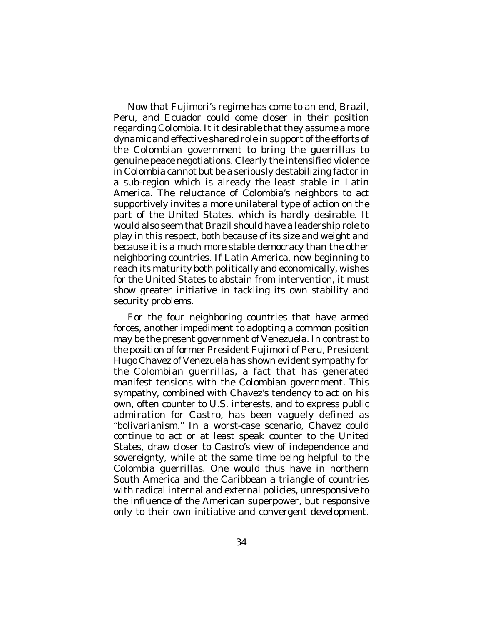Now that Fujimori's regime has come to an end, Brazil, Peru, and Ecuador could come closer in their position regarding Colombia. It it desirable that they assume a more dynamic and effective shared role in support of the efforts of the Colombian government to bring the guerrillas to genuine peace negotiations. Clearly the intensified violence in Colombia cannot but be a seriously destabilizing factor in a sub-region which is already the least stable in Latin America. The reluctance of Colombia's neighbors to act supportively invites a more unilateral type of action on the part of the United States, which is hardly desirable. It would also seem that Brazil should have a leadership role to play in this respect, both because of its size and weight and because it is a much more stable democracy than the other neighboring countries. If Latin America, now beginning to reach its maturity both politically and economically, wishes for the United States to abstain from intervention, it must show greater initiative in tackling its own stability and security problems.

For the four neighboring countries that have armed forces, another impediment to adopting a common position may be the present government of Venezuela. In contrast to the position of former President Fujimori of Peru, President Hugo Chavez of Venezuela has shown evident sympathy for the Colombian guerrillas, a fact that has generated manifest tensions with the Colombian government. This sympathy, combined with Chavez's tendency to act on his own, often counter to U.S. interests, and to express public admiration for Castro, has been vaguely defined as "bolivarianism." In a worst-case scenario, Chavez could continue to act or at least speak counter to the United States, draw closer to Castro's view of independence and sovereignty, while at the same time being helpful to the Colombia guerrillas. One would thus have in northern South America and the Caribbean a triangle of countries with radical internal and external policies, unresponsive to the influence of the American superpower, but responsive only to their own initiative and convergent development.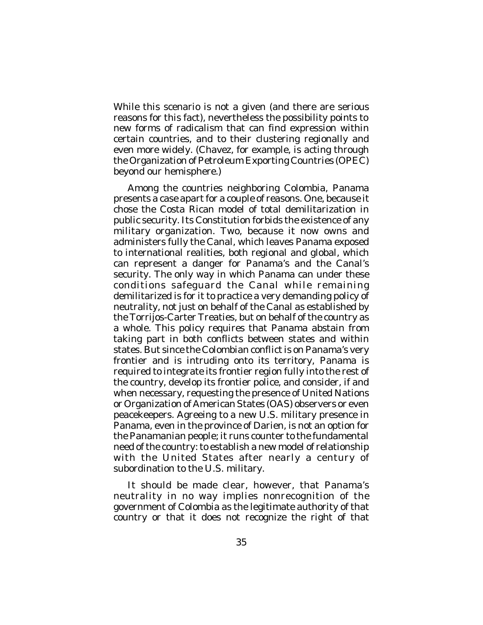While this scenario is not a given (and there are serious reasons for this fact), nevertheless the possibility points to new forms of radicalism that can find expression within certain countries, and to their clustering regionally and even more widely. (Chavez, for example, is acting through the Organization of Petroleum Exporting Countries (OPEC) beyond our hemisphere.)

Among the countries neighboring Colombia, Panama presents a case apart for a couple of reasons. One, because it chose the Costa Rican model of total demilitarization in public security. Its Constitution forbids the existence of any military organization. Two, because it now owns and administers fully the Canal, which leaves Panama exposed to international realities, both regional and global, which can represent a danger for Panama's and the Canal's security. The only way in which Panama can under these conditions safeguard the Canal while remaining demilitarized is for it to practice a very demanding policy of neutrality, not just on behalf of the Canal as established by the Torrijos-Carter Treaties, but on behalf of the country as a whole. This policy requires that Panama abstain from taking part in both conflicts between states and within states. But since the Colombian conflict is on Panama's very frontier and is intruding onto its territory, Panama is required to integrate its frontier region fully into the rest of the country, develop its frontier police, and consider, if and when necessary, requesting the presence of United Nations or Organization of American States (OAS) observers or even peacekeepers. Agreeing to a new U.S. military presence in Panama, even in the province of Darien, is not an option for the Panamanian people; it runs counter to the fundamental need of the country: to establish a new model of relationship with the United States after nearly a century of subordination to the U.S. military.

It should be made clear, however, that Panama's neutrality in no way implies nonrecognition of the government of Colombia as the legitimate authority of that country or that it does not recognize the right of that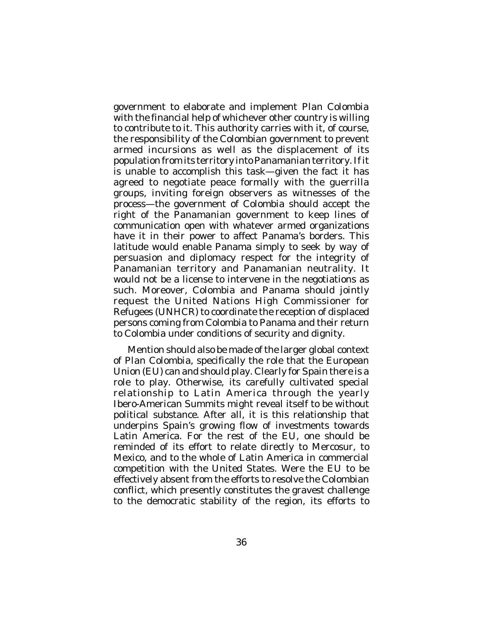government to elaborate and implement *Plan Colombia* with the financial help of whichever other country is willing to contribute to it. This authority carries with it, of course, the responsibility of the Colombian government to prevent armed incursions as well as the displacement of its population from its territory into Panamanian territory. If it is unable to accomplish this task—given the fact it has agreed to negotiate peace formally with the guerrilla groups, inviting foreign observers as witnesses of the process—the government of Colombia should accept the right of the Panamanian government to keep lines of communication open with whatever armed organizations have it in their power to affect Panama's borders. This latitude would enable Panama simply to seek by way of persuasion and diplomacy respect for the integrity of Panamanian territory and Panamanian neutrality. It would not be a license to intervene in the negotiations as such. Moreover, Colombia and Panama should jointly request the United Nations High Commissioner for Refugees (UNHCR) to coordinate the reception of displaced persons coming from Colombia to Panama and their return to Colombia under conditions of security and dignity.

Mention should also be made of the larger global context of *Plan Colombia*, specifically the role that the European Union (EU) can and should play. Clearly for Spain there is a role to play. Otherwise, its carefully cultivated special relationship to Latin America through the yearly Ibero-American Summits might reveal itself to be without political substance. After all, it is this relationship that underpins Spain's growing flow of investments towards Latin America. For the rest of the EU, one should be reminded of its effort to relate directly to Mercosur, to Mexico, and to the whole of Latin America in commercial competition with the United States. Were the EU to be effectively absent from the efforts to resolve the Colombian conflict, which presently constitutes the gravest challenge to the democratic stability of the region, its efforts to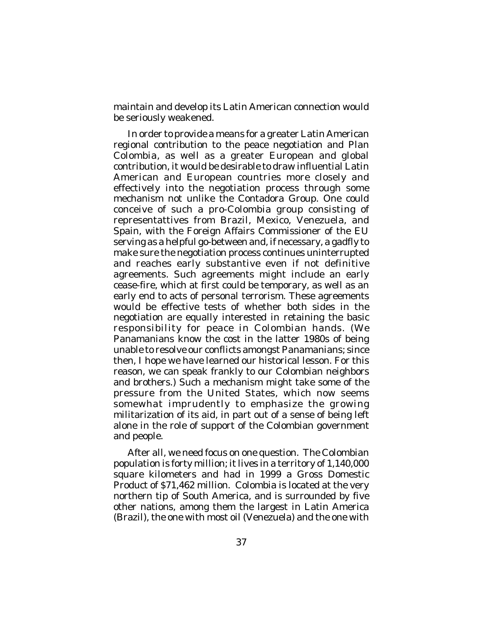maintain and develop its Latin American connection would be seriously weakened.

In order to provide a means for a greater Latin American regional contribution to the peace negotiation and *Plan Colombia*, as well as a greater European and global contribution, it would be desirable to draw influential Latin American and European countries more closely and effectively into the negotiation process through some mechanism not unlike the Contadora Group. One could conceive of such a pro-Colombia group consisting of representattives from Brazil, Mexico, Venezuela, and Spain, with the Foreign Affairs Commissioner of the EU serving as a helpful go-between and, if necessary, a gadfly to make sure the negotiation process continues uninterrupted and reaches early substantive even if not definitive agreements. Such agreements might include an early cease-fire, which at first could be temporary, as well as an early end to acts of personal terrorism. These agreements would be effective tests of whether both sides in the negotiation are equally interested in retaining the basic responsibility for peace in Colombian hands. (We Panamanians know the cost in the latter 1980s of being unable to resolve our conflicts amongst Panamanians; since then, I hope we have learned our historical lesson. For this reason, we can speak frankly to our Colombian neighbors and brothers.) Such a mechanism might take some of the pressure from the United States, which now seems somewhat imprudently to emphasize the growing militarization of its aid, in part out of a sense of being left alone in the role of support of the Colombian government and people.

After all, we need focus on one question. The Colombian population is forty million; it lives in a territory of 1,140,000 square kilometers and had in 1999 a Gross Domestic Product of \$71,462 million. Colombia is located at the very northern tip of South America, and is surrounded by five other nations, among them the largest in Latin America (Brazil), the one with most oil (Venezuela) and the one with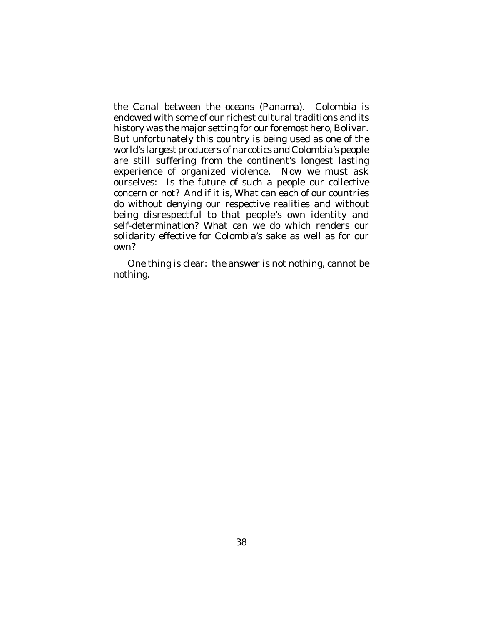the Canal between the oceans (Panama). Colombia is endowed with some of our richest cultural traditions and its history was the major setting for our foremost hero, Bolivar. But unfortunately this country is being used as one of the world's largest producers of narcotics and Colombia's people are still suffering from the continent's longest lasting experience of organized violence. Now we must ask ourselves: Is the future of such a people our collective concern or not? And if it is, What can each of our countries do without denying our respective realities and without being disrespectful to that people's own identity and self-determination? What can we do which renders our solidarity effective for Colombia's sake as well as for our own?

One thing is clear: the answer is not nothing, cannot be nothing.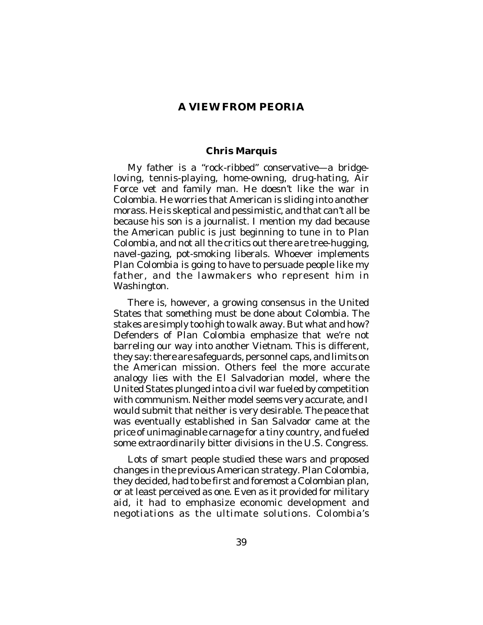## **A VIEW FROM PEORIA**

#### **Chris Marquis**

My father is a "rock-ribbed" conservative—a bridgeloving, tennis-playing, home-owning, drug-hating, Air Force vet and family man. He doesn't like the war in Colombia. He worries that American is sliding into another morass. He is skeptical and pessimistic, and that can't all be because his son is a journalist. I mention my dad because the American public is just beginning to tune in to *Plan Colombia*, and not all the critics out there are tree-hugging, navel-gazing, pot-smoking liberals. Whoever implements *Plan Colombia* is going to have to persuade people like my father, and the lawmakers who represent him in Washington.

There is, however, a growing consensus in the United States that something must be done about Colombia. The stakes are simply too high to walk away. But what and how? Defenders of *Plan Colombia* emphasize that we're not barreling our way into another Vietnam. This is different, they say: there are safeguards, personnel caps, and limits on the American mission. Others feel the more accurate analogy lies with the El Salvadorian model, where the United States plunged into a civil war fueled by competition with communism. Neither model seems very accurate, and I would submit that neither is very desirable. The peace that was eventually established in San Salvador came at the price of unimaginable carnage for a tiny country, and fueled some extraordinarily bitter divisions in the U.S. Congress.

Lots of smart people studied these wars and proposed changes in the previous American strategy. *Plan Colombia*, they decided, had to be first and foremost a Colombian plan, or at least perceived as one. Even as it provided for military aid, it had to emphasize economic development and negotiations as the ultimate solutions. Colombia's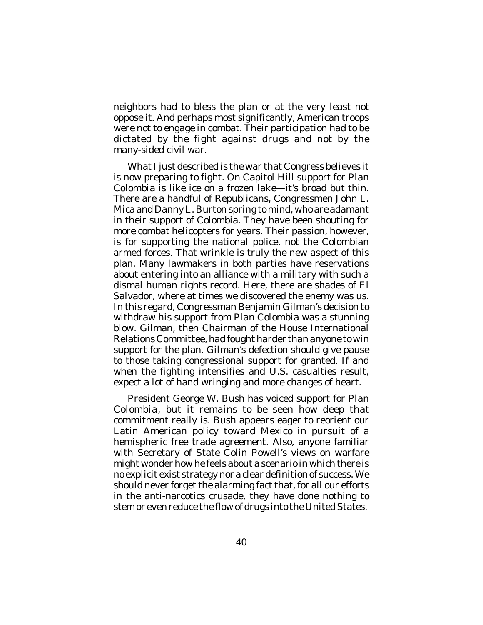neighbors had to bless the plan or at the very least not oppose it. And perhaps most significantly, American troops were not to engage in combat. Their participation had to be dictated by the fight against drugs and not by the many-sided civil war.

What I just described is the war that Congress believes it is now preparing to fight. On Capitol Hill support for *Plan Colombia* is like ice on a frozen lake—it's broad but thin. There are a handful of Republicans, Congressmen John L. Mica and Danny L. Burton spring to mind, who are adamant in their support of Colombia. They have been shouting for more combat helicopters for years. Their passion, however, is for supporting the national police, not the Colombian armed forces. That wrinkle is truly the new aspect of this plan. Many lawmakers in both parties have reservations about entering into an alliance with a military with such a dismal human rights record. Here, there are shades of El Salvador, where at times we discovered the enemy was us. In this regard, Congressman Benjamin Gilman's decision to withdraw his support from *Plan Colombia* was a stunning blow. Gilman, then Chairman of the House International Relations Committee, had fought harder than anyone to win support for the plan. Gilman's defection should give pause to those taking congressional support for granted. If and when the fighting intensifies and U.S. casualties result, expect a lot of hand wringing and more changes of heart.

President George W. Bush has voiced support for *Plan Colombia*, but it remains to be seen how deep that commitment really is. Bush appears eager to reorient our Latin American policy toward Mexico in pursuit of a hemispheric free trade agreement. Also, anyone familiar with Secretary of State Colin Powell's views on warfare might wonder how he feels about a scenario in which there is no explicit exist strategy nor a clear definition of success. We should never forget the alarming fact that, for all our efforts in the anti-narcotics crusade, they have done nothing to stem or even reduce the flow of drugs into the United States.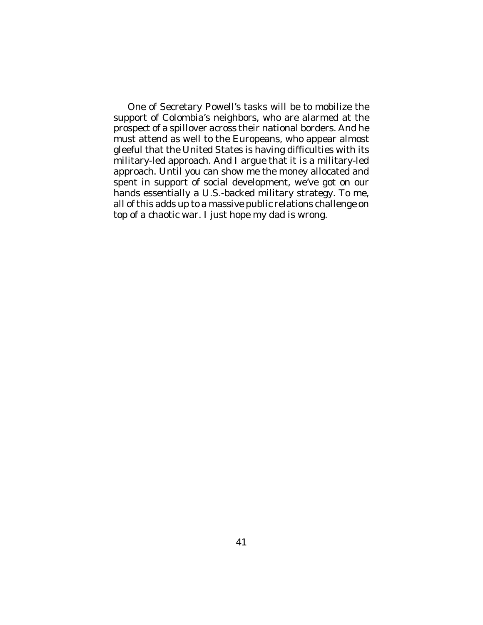One of Secretary Powell's tasks will be to mobilize the support of Colombia's neighbors, who are alarmed at the prospect of a spillover across their national borders. And he must attend as well to the Europeans, who appear almost gleeful that the United States is having difficulties with its military-led approach. And I argue that it *is* a military-led approach. Until you can show me the money allocated and spent in support of social development, we've got on our hands essentially a U.S.-backed military strategy. To me, all of this adds up to a massive public relations challenge on top of a chaotic war. I just hope my dad is wrong.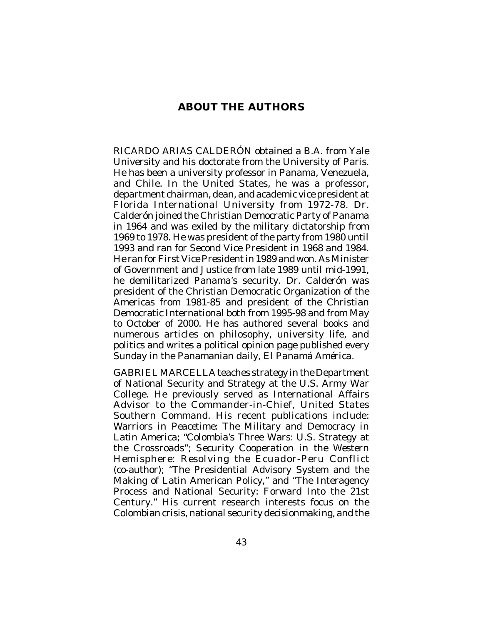## **ABOUT THE AUTHORS**

RICARDO ARIAS CALDERÓN obtained a B.A. from Yale University and his doctorate from the University of Paris. He has been a university professor in Panama, Venezuela, and Chile. In the United States, he was a professor, department chairman, dean, and academic vice president at Florida International University from 1972-78. Dr. Calderón joined the Christian Democratic Party of Panama in 1964 and was exiled by the military dictatorship from 1969 to 1978. He was president of the party from 1980 until 1993 and ran for Second Vice President in 1968 and 1984. He ran for First Vice President in 1989 and won. As Minister of Government and Justice from late 1989 until mid-1991, he demilitarized Panama's security. Dr. Calderón was president of the Christian Democratic Organization of the Americas from 1981-85 and president of the Christian Democratic International both from 1995-98 and from May to October of 2000. He has authored several books and numerous articles on philosophy, university life, and politics and writes a political opinion page published every Sunday in the Panamanian daily, *El Panamá América*.

GABRIEL MARCELLA teaches strategy in the Department of National Security and Strategy at the U.S. Army War College. He previously served as International Affairs Advisor to the Commander-in-Chief, United States Southern Command. His recent publications include: *Warriors in Peacetime: The Military and Democracy in Latin America; "*Colombia's Three Wars: U.S. Strategy at the Crossroads"; *Security Cooperation in the Western Hemisphere: Resolving the Ecuador-Peru Conflict* (co-author); "The Presidential Advisory System and the Making of Latin American Policy," and "The Interagency Process and National Security: Forward Into the 21st Century." His current research interests focus on the Colombian crisis, national security decisionmaking, and the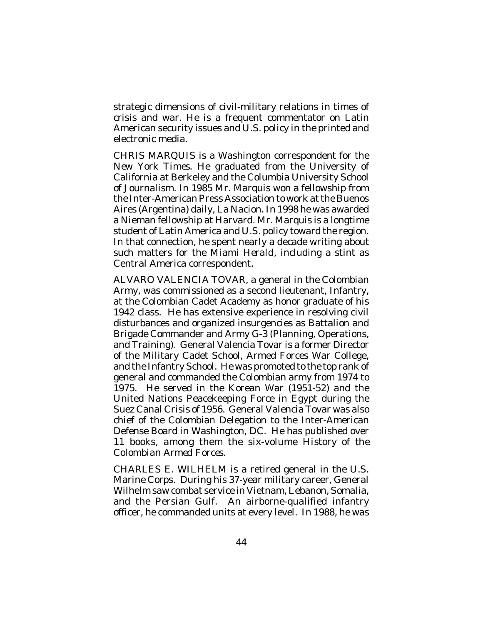strategic dimensions of civil-military relations in times of crisis and war. He is a frequent commentator on Latin American security issues and U.S. policy in the printed and electronic media.

CHRIS MARQUIS is a Washington correspondent for the *New York Times*. He graduated from the University of California at Berkeley and the Columbia University School of Journalism. In 1985 Mr. Marquis won a fellowship from the Inter-American Press Association to work at the Buenos Aires (Argentina) daily, *La Nacion*. In 1998 he was awarded a Nieman fellowship at Harvard. Mr. Marquis is a longtime student of Latin America and U.S. policy toward the region. In that connection, he spent nearly a decade writing about such matters for the *Miami Herald*, including a stint as Central America correspondent.

ALVARO VALENCIA TOVAR, a general in the Colombian Army, was commissioned as a second lieutenant, Infantry, at the Colombian Cadet Academy as honor graduate of his 1942 class. He has extensive experience in resolving civil disturbances and organized insurgencies as Battalion and Brigade Commander and Army G-3 (Planning, Operations, and Training). General Valencia Tovar is a former Director of the Military Cadet School, Armed Forces War College, and the Infantry School. He was promoted to the top rank of general and commanded the Colombian army from 1974 to 1975. He served in the Korean War (1951-52) and the United Nations Peacekeeping Force in Egypt during the Suez Canal Crisis of 1956. General Valencia Tovar was also chief of the Colombian Delegation to the Inter-American Defense Board in Washington, DC. He has published over 11 books, among them the six-volume *History of the Colombian Armed Forces*.

CHARLES E. WILHELM is a retired general in the U.S. Marine Corps. During his 37-year military career, General Wilhelm saw combat service in Vietnam, Lebanon, Somalia, and the Persian Gulf. An airborne-qualified infantry officer, he commanded units at every level. In 1988, he was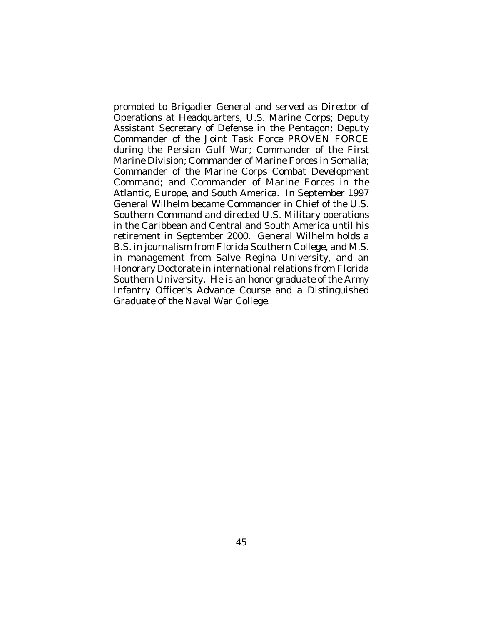promoted to Brigadier General and served as Director of Operations at Headquarters, U.S. Marine Corps; Deputy Assistant Secretary of Defense in the Pentagon; Deputy Commander of the Joint Task Force PROVEN FORCE during the Persian Gulf War; Commander of the First Marine Division; Commander of Marine Forces in Somalia; Commander of the Marine Corps Combat Development Command; and Commander of Marine Forces in the Atlantic, Europe, and South America. In September 1997 General Wilhelm became Commander in Chief of the U.S. Southern Command and directed U.S. Military operations in the Caribbean and Central and South America until his retirement in September 2000. General Wilhelm holds a B.S. in journalism from Florida Southern College, and M.S. in management from Salve Regina University, and an Honorary Doctorate in international relations from Florida Southern University. He is an honor graduate of the Army Infantry Officer's Advance Course and a Distinguished Graduate of the Naval War College.